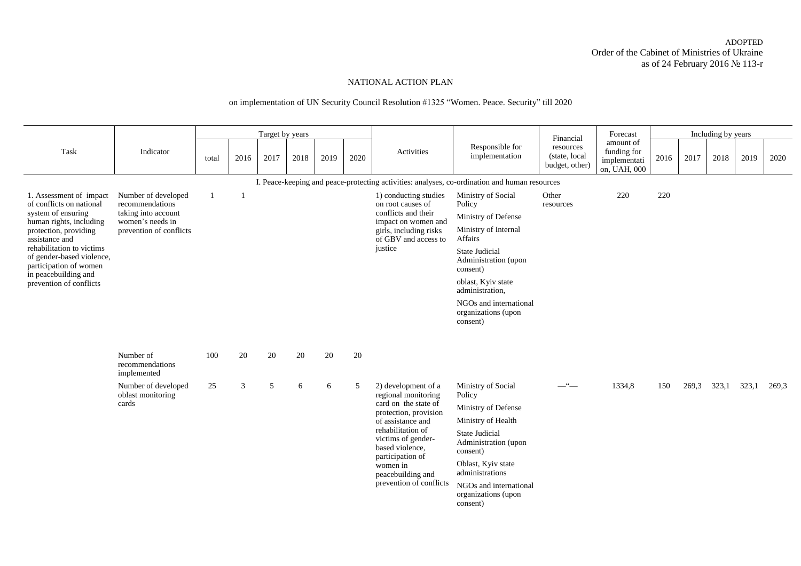## ADOPTED Order of the Cabinet of Ministries of Ukraine as of 24 February 2016 № 113-r

## NATIONAL ACTION PLAN

## on implementation of UN Security Council Resolution #1325 "Women. Peace. Security" till 2020

| Task                                                                             |                                                               |       |      | Target by years |      |      |      |                                                                   |                                                                                               | Financial                                          | Forecast                                                 |      |       | Including by years |       |       |  |
|----------------------------------------------------------------------------------|---------------------------------------------------------------|-------|------|-----------------|------|------|------|-------------------------------------------------------------------|-----------------------------------------------------------------------------------------------|----------------------------------------------------|----------------------------------------------------------|------|-------|--------------------|-------|-------|--|
|                                                                                  | Indicator                                                     | total | 2016 | 2017            | 2018 | 2019 | 2020 | Activities                                                        | Responsible for<br>implementation                                                             | resources<br>(state, local)<br>budget, other)      | amount of<br>funding for<br>implementati<br>on, UAH, 000 | 2016 | 2017  | 2018               | 2019  | 2020  |  |
|                                                                                  |                                                               |       |      |                 |      |      |      |                                                                   | I. Peace-keeping and peace-protecting activities: analyses, co-ordination and human resources |                                                    |                                                          |      |       |                    |       |       |  |
| 1. Assessment of impact<br>of conflicts on national<br>system of ensuring        | Number of developed<br>recommendations<br>taking into account |       |      |                 |      |      |      | 1) conducting studies<br>on root causes of<br>conflicts and their | Ministry of Social<br>Policy                                                                  | Other<br>resources                                 | 220                                                      | 220  |       |                    |       |       |  |
| human rights, including                                                          | women's needs in                                              |       |      |                 |      |      |      | impact on women and                                               | Ministry of Defense                                                                           |                                                    |                                                          |      |       |                    |       |       |  |
| protection, providing<br>assistance and                                          | prevention of conflicts                                       |       |      |                 |      |      |      | girls, including risks<br>of GBV and access to                    | Ministry of Internal<br>Affairs                                                               |                                                    |                                                          |      |       |                    |       |       |  |
| rehabilitation to victims<br>of gender-based violence,<br>participation of women |                                                               |       |      |                 |      |      |      | justice                                                           | <b>State Judicial</b><br>Administration (upon<br>consent)                                     |                                                    |                                                          |      |       |                    |       |       |  |
| in peacebuilding and<br>prevention of conflicts                                  |                                                               |       |      |                 |      |      |      |                                                                   | oblast, Kyiv state<br>administration,                                                         |                                                    |                                                          |      |       |                    |       |       |  |
|                                                                                  |                                                               |       |      |                 |      |      |      |                                                                   | NGOs and international<br>organizations (upon<br>consent)                                     |                                                    |                                                          |      |       |                    |       |       |  |
|                                                                                  |                                                               |       |      |                 |      |      |      |                                                                   |                                                                                               |                                                    |                                                          |      |       |                    |       |       |  |
|                                                                                  | Number of<br>recommendations<br>implemented                   | 100   | 20   | 20              | 20   | 20   | 20   |                                                                   |                                                                                               |                                                    |                                                          |      |       |                    |       |       |  |
|                                                                                  | Number of developed<br>oblast monitoring                      | 25    | 3    | 5               | 6    | 6    | 5    | 2) development of a<br>regional monitoring                        | Ministry of Social<br>Policy                                                                  | $-$ " $-$                                          | 1334,8                                                   | 150  | 269,3 | 323,1              | 323,1 | 269,3 |  |
|                                                                                  | cards                                                         |       |      |                 |      |      |      | card on the state of                                              | Ministry of Defense                                                                           |                                                    |                                                          |      |       |                    |       |       |  |
|                                                                                  |                                                               |       |      |                 |      |      |      | protection, provision<br>of assistance and                        | Ministry of Health                                                                            |                                                    |                                                          |      |       |                    |       |       |  |
|                                                                                  |                                                               |       |      |                 |      |      |      |                                                                   | rehabilitation of<br>victims of gender-<br>based violence,                                    | State Judicial<br>Administration (upon<br>consent) |                                                          |      |       |                    |       |       |  |
|                                                                                  |                                                               |       |      |                 |      |      |      | participation of<br>women in<br>peacebuilding and                 | Oblast, Kyiv state<br>administrations                                                         |                                                    |                                                          |      |       |                    |       |       |  |
|                                                                                  |                                                               |       |      |                 |      |      |      | prevention of conflicts                                           | NGOs and international<br>organizations (upon<br>consent)                                     |                                                    |                                                          |      |       |                    |       |       |  |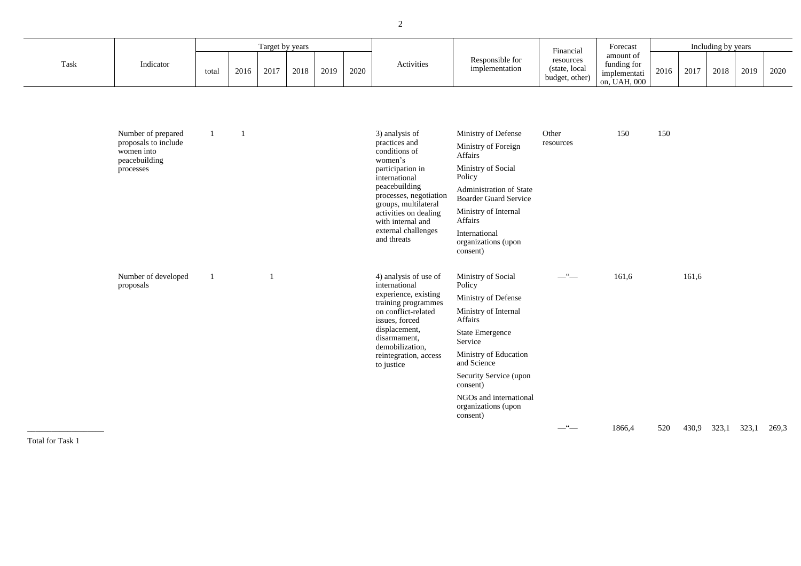|      |                                                                                        |              |                          | Target by years |      |      |      |                                                                                                                                                                                                                                                         |                                                                                                                                                                                                                                         | Financial                                          | Forecast                                                 |      |       | Including by years |      |      |
|------|----------------------------------------------------------------------------------------|--------------|--------------------------|-----------------|------|------|------|---------------------------------------------------------------------------------------------------------------------------------------------------------------------------------------------------------------------------------------------------------|-----------------------------------------------------------------------------------------------------------------------------------------------------------------------------------------------------------------------------------------|----------------------------------------------------|----------------------------------------------------------|------|-------|--------------------|------|------|
| Task | Indicator                                                                              | total        | 2016                     | 2017            | 2018 | 2019 | 2020 | Activities                                                                                                                                                                                                                                              | Responsible for<br>implementation                                                                                                                                                                                                       | resources<br>(state, local<br>budget, other)       | amount of<br>funding for<br>implementati<br>on, UAH, 000 | 2016 | 2017  | 2018               | 2019 | 2020 |
|      | Number of prepared<br>proposals to include<br>women into<br>peacebuilding<br>processes | $\mathbf{1}$ | $\overline{\phantom{a}}$ |                 |      |      |      | 3) analysis of<br>practices and<br>conditions of<br>women's<br>participation in<br>international<br>peacebuilding<br>processes, negotiation<br>groups, multilateral<br>activities on dealing<br>with internal and<br>external challenges<br>and threats | Ministry of Defense<br>Ministry of Foreign<br>Affairs<br>Ministry of Social<br>Policy<br>Administration of State<br><b>Boarder Guard Service</b><br>Ministry of Internal<br>Affairs<br>International<br>organizations (upon<br>consent) | Other<br>resources                                 | 150                                                      | 150  |       |                    |      |      |
|      | Number of developed<br>proposals                                                       | $\mathbf{1}$ |                          | $\mathbf{1}$    |      |      |      | 4) analysis of use of<br>international<br>experience, existing<br>training programmes<br>on conflict-related<br>issues, forced<br>displacement,<br>disarmament,<br>demobilization,<br>reintegration, access<br>to justice                               | Ministry of Social<br>Policy<br>Ministry of Defense<br>Ministry of Internal<br>Affairs<br><b>State Emergence</b><br>Service<br>Ministry of Education<br>and Science<br>Security Service (upon                                           | $\begin{array}{c}\n\cdot & \\ \hline\n\end{array}$ | 161,6                                                    |      | 161,6 |                    |      |      |

consent)

NGOs and international organizations (upon

consent)

\_\_\_\_\_\_\_\_\_\_\_\_\_\_\_\_\_\_\_ Total for Task 1

—"— 1866,4 520 430,9 323,1 323,1 269,3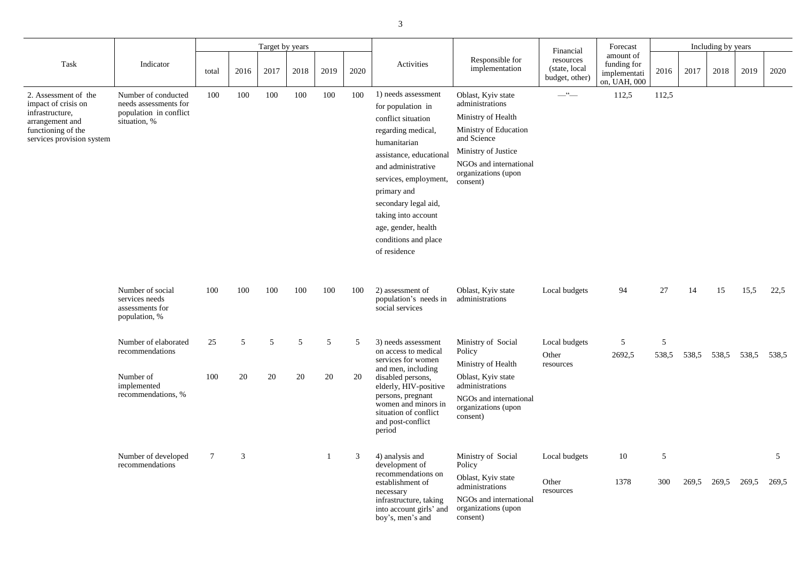| Forecast                                                 |      |      | Including by years |      |      |
|----------------------------------------------------------|------|------|--------------------|------|------|
| amount of<br>funding for<br>implementati<br>on, UAH, 000 | 2016 | 2017 | 2018               | 2019 | 2020 |
|                                                          |      |      |                    |      |      |

|                                                                                                                                      |                                                                                           |                 |                | Target by years |      |      |      |                                                                                                                                                                                                                                                                                                             |                                                                                                                                                                                         | Financial                                    | Forecast                                                 |                   |       | Including by years |       |                         |
|--------------------------------------------------------------------------------------------------------------------------------------|-------------------------------------------------------------------------------------------|-----------------|----------------|-----------------|------|------|------|-------------------------------------------------------------------------------------------------------------------------------------------------------------------------------------------------------------------------------------------------------------------------------------------------------------|-----------------------------------------------------------------------------------------------------------------------------------------------------------------------------------------|----------------------------------------------|----------------------------------------------------------|-------------------|-------|--------------------|-------|-------------------------|
| Task                                                                                                                                 | Indicator                                                                                 | total           | 2016           | 2017            | 2018 | 2019 | 2020 | Activities                                                                                                                                                                                                                                                                                                  | Responsible for<br>implementation                                                                                                                                                       | resources<br>(state, local<br>budget, other) | amount of<br>funding for<br>implementati<br>on, UAH, 000 | 2016              | 2017  | 2018               | 2019  | 2020                    |
| 2. Assessment of the<br>impact of crisis on<br>infrastructure,<br>arrangement and<br>functioning of the<br>services provision system | Number of conducted<br>needs assessments for<br>population in conflict<br>situation, %    | 100             | 100            | 100             | 100  | 100  | 100  | 1) needs assessment<br>for population in<br>conflict situation<br>regarding medical,<br>humanitarian<br>assistance, educational<br>and administrative<br>services, employment,<br>primary and<br>secondary legal aid,<br>taking into account<br>age, gender, health<br>conditions and place<br>of residence | Oblast, Kyiv state<br>administrations<br>Ministry of Health<br>Ministry of Education<br>and Science<br>Ministry of Justice<br>NGOs and international<br>organizations (upon<br>consent) | $-\frac{a}{\sqrt{a}}$                        | 112,5                                                    | 112,5             |       |                    |       |                         |
|                                                                                                                                      | Number of social<br>services needs<br>assessments for<br>population, %                    | 100             | 100            | 100             | 100  | 100  | 100  | 2) assessment of<br>population's needs in<br>social services                                                                                                                                                                                                                                                | Oblast, Kyiv state<br>administrations                                                                                                                                                   | Local budgets                                | 94                                                       | 27                | 14    | 15                 | 15,5  | 22,5                    |
|                                                                                                                                      | Number of elaborated<br>recommendations<br>Number of<br>implemented<br>recommendations, % | 100             | 20             | 20              | 20   | 20   | 20   | 25 5 5 5 5 5 3) needs assessment Ministry of Social<br>on access to medical<br>services for women<br>and men, including<br>disabled persons,<br>elderly, HIV-positive<br>persons, pregnant<br>women and minors in<br>situation of conflict<br>and post-conflict<br>period                                   | Policy<br>Ministry of Health<br>Oblast, Kyiv state<br>administrations<br>NGOs and international<br>organizations (upon<br>consent)                                                      | Local budgets<br>Other<br>resources          | $\sim$ 5<br>2692,5                                       | $\sim$ 5<br>538,5 | 538,5 | 538,5              | 538,5 | 538,5                   |
|                                                                                                                                      | Number of developed<br>recommendations                                                    | $7\phantom{.0}$ | $\mathfrak{Z}$ |                 |      |      | 3    | 4) analysis and<br>development of<br>recommendations on<br>establishment of<br>necessary<br>infrastructure, taking<br>into account girls' and                                                                                                                                                               | Ministry of Social<br>Policy<br>Oblast, Kyiv state<br>administrations<br>NGOs and international<br>organizations (upon                                                                  | Local budgets<br>Other<br>resources          | 10<br>1378                                               | 5<br>300          | 269,5 | 269,5              | 269,5 | $\mathfrak{S}$<br>269,5 |

| Local budgets                       | 94          | 27  | 14    | 15                      | 15,5  | 22,5  |
|-------------------------------------|-------------|-----|-------|-------------------------|-------|-------|
| Local budgets<br>Other<br>resources | 5<br>2692,5 | 5   |       | 538,5 538,5 538,5 538,5 |       | 538,5 |
|                                     |             |     |       |                         |       |       |
|                                     |             |     |       |                         |       |       |
| Local budgets                       | 10          | 5   |       |                         |       | 5     |
| Other                               | 1378        | 300 | 269,5 | 269,5                   | 269,5 | 269,5 |

boy's, men's and

consent)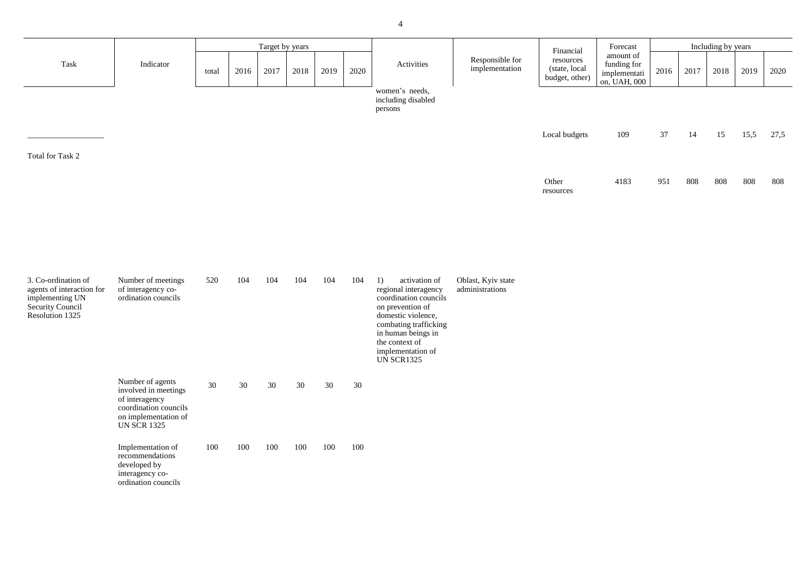| Forecast                                                 |      |      | Including by years |      |      |  |
|----------------------------------------------------------|------|------|--------------------|------|------|--|
| amount of<br>funding for<br>implementati<br>on, UAH, 000 | 2016 | 2017 | 2018               | 2019 | 2020 |  |
| 109                                                      | 37   | 14   | 15                 | 15,5 | 27,5 |  |
| 4183                                                     | 951  | 808  | 808                | 808  | 808  |  |

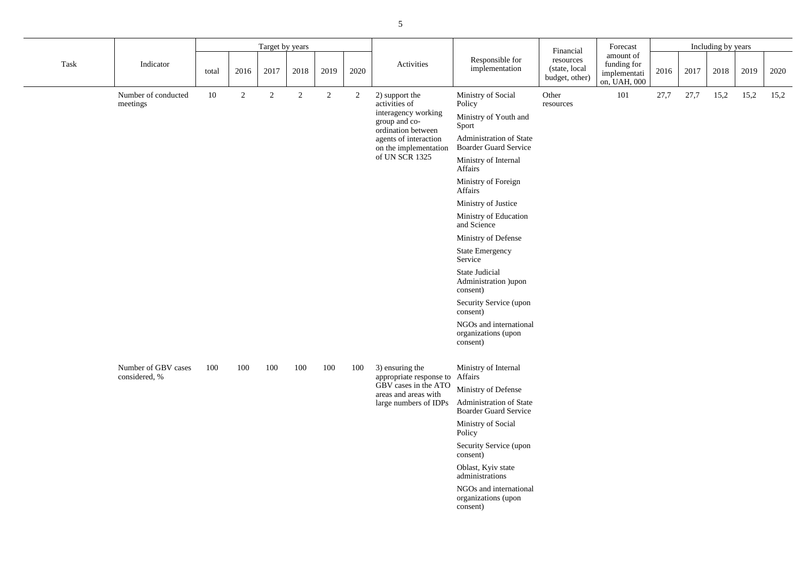| Forecast                                                 |      |      | Including by years |      |      |
|----------------------------------------------------------|------|------|--------------------|------|------|
| amount of<br>funding for<br>implementati<br>on, UAH, 000 | 2016 | 2017 | 2018               | 2019 | 2020 |
| 101                                                      | 27,7 | 27.7 | 15,2               | 15.2 | 15,2 |

|      |                                      |       |      | Target by years |                       |                                |             |                                                            |                                                                | Financial                                    | Forecast                                                 |      |      | Including by years |      |      |
|------|--------------------------------------|-------|------|-----------------|-----------------------|--------------------------------|-------------|------------------------------------------------------------|----------------------------------------------------------------|----------------------------------------------|----------------------------------------------------------|------|------|--------------------|------|------|
| Task | Indicator                            | total | 2016 | 2017            | 2018                  | 2019                           | 2020        | Activities                                                 | Responsible for<br>implementation                              | resources<br>(state, local<br>budget, other) | amount of<br>funding for<br>implementati<br>on, UAH, 000 | 2016 | 2017 | 2018               | 2019 | 2020 |
|      | Number of conducted<br>meetings      | 10    | 2    | $\overline{2}$  | 2                     | $\overline{2}$                 | 2           | 2) support the<br>activities of                            | Ministry of Social<br>Policy                                   | Other<br>resources                           | 101                                                      | 27,7 | 27,7 | 15,2               | 15,2 | 15,2 |
|      |                                      |       |      |                 |                       |                                |             | interagency working<br>group and co-<br>ordination between | Ministry of Youth and<br>Sport                                 |                                              |                                                          |      |      |                    |      |      |
|      |                                      |       |      |                 |                       |                                |             | agents of interaction<br>on the implementation             | Administration of State<br><b>Boarder Guard Service</b>        |                                              |                                                          |      |      |                    |      |      |
|      |                                      |       |      |                 |                       |                                |             | of UN SCR 1325                                             | Ministry of Internal<br>Affairs                                |                                              |                                                          |      |      |                    |      |      |
|      |                                      |       |      |                 |                       | Ministry of Foreign<br>Affairs |             |                                                            |                                                                |                                              |                                                          |      |      |                    |      |      |
|      |                                      |       |      |                 |                       |                                |             | Ministry of Justice                                        |                                                                |                                              |                                                          |      |      |                    |      |      |
|      |                                      |       |      |                 | Ministry of Education |                                | and Science |                                                            |                                                                |                                              |                                                          |      |      |                    |      |      |
|      |                                      |       |      |                 |                       |                                |             | Ministry of Defense                                        |                                                                |                                              |                                                          |      |      |                    |      |      |
|      |                                      |       |      |                 |                       |                                |             |                                                            | <b>State Emergency</b><br>Service                              |                                              |                                                          |      |      |                    |      |      |
|      |                                      |       |      |                 |                       |                                |             | <b>State Judicial</b><br>Administration )upon<br>consent)  |                                                                |                                              |                                                          |      |      |                    |      |      |
|      |                                      |       |      |                 |                       |                                |             |                                                            | Security Service (upon<br>consent)                             |                                              |                                                          |      |      |                    |      |      |
|      |                                      |       |      |                 |                       |                                |             |                                                            | NGOs and international<br>organizations (upon<br>consent)      |                                              |                                                          |      |      |                    |      |      |
|      | Number of GBV cases<br>considered, % | 100   | 100  | 100             | 100                   | 100                            | 100         | 3) ensuring the<br>appropriate response to Affairs         | Ministry of Internal                                           |                                              |                                                          |      |      |                    |      |      |
|      |                                      |       |      |                 |                       |                                |             | GBV cases in the ATO                                       | Ministry of Defense                                            |                                              |                                                          |      |      |                    |      |      |
|      |                                      |       |      |                 |                       |                                |             | areas and areas with<br>large numbers of IDPs              | <b>Administration of State</b><br><b>Boarder Guard Service</b> |                                              |                                                          |      |      |                    |      |      |
|      |                                      |       |      |                 |                       |                                |             |                                                            | Ministry of Social<br>Policy                                   |                                              |                                                          |      |      |                    |      |      |
|      |                                      |       |      |                 |                       |                                |             |                                                            | Security Service (upon<br>consent)                             |                                              |                                                          |      |      |                    |      |      |
|      |                                      |       |      |                 |                       |                                |             |                                                            | Oblast, Kyiv state<br>administrations                          |                                              |                                                          |      |      |                    |      |      |
|      |                                      |       |      |                 |                       |                                |             |                                                            | NGOs and international<br>organizations (upon<br>consent)      |                                              |                                                          |      |      |                    |      |      |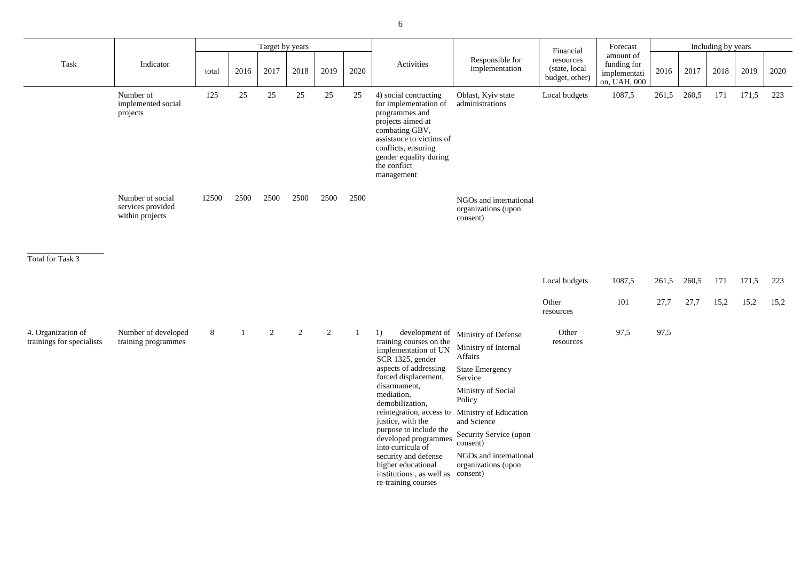| Financial                                    | Forecast                                                 |       |       | Including by years |       |      |
|----------------------------------------------|----------------------------------------------------------|-------|-------|--------------------|-------|------|
| resources<br>(state, local<br>budget, other) | amount of<br>funding for<br>implementati<br>on, UAH, 000 | 2016  | 2017  | 2018               | 2019  | 2020 |
| Local budgets                                | 1087,5                                                   | 261,5 | 260.5 | 171                | 171.5 | 223  |

\_\_\_\_\_\_\_\_\_\_\_\_\_\_\_\_\_\_\_

Total for Task 3

|                                                          |       |      | Target by years |      |      |      |                                                                                                                                                                                                                    |                                                                 | Financial                                    | Forecast                                                 |       |       | Including by years |       |      |
|----------------------------------------------------------|-------|------|-----------------|------|------|------|--------------------------------------------------------------------------------------------------------------------------------------------------------------------------------------------------------------------|-----------------------------------------------------------------|----------------------------------------------|----------------------------------------------------------|-------|-------|--------------------|-------|------|
| Indicator                                                | total | 2016 | 2017            | 2018 | 2019 | 2020 | Activities                                                                                                                                                                                                         | Responsible for<br>implementation                               | resources<br>(state, local<br>budget, other) | amount of<br>funding for<br>implementati<br>on, UAH, 000 | 2016  | 2017  | 2018               | 2019  | 2020 |
| Number of<br>implemented social<br>projects              | 125   | 25   | 25              | 25   | 25   | 25   | 4) social contracting<br>for implementation of<br>programmes and<br>projects aimed at<br>combating GBV,<br>assistance to victims of<br>conflicts, ensuring<br>gender equality during<br>the conflict<br>management | Oblast, Kyiv state<br>administrations                           | Local budgets                                | 1087,5                                                   | 261,5 | 260,5 | 171                | 171,5 | 223  |
| Number of social<br>services provided<br>within projects | 12500 | 2500 | 2500            | 2500 | 2500 | 2500 |                                                                                                                                                                                                                    | NGOs and international<br>organizations (upon<br>consent)       |                                              |                                                          |       |       |                    |       |      |
|                                                          |       |      |                 |      |      |      |                                                                                                                                                                                                                    |                                                                 | Local budgets                                | 1087,5                                                   | 261,5 | 260,5 | 171                | 171,5 | 223  |
|                                                          |       |      |                 |      |      |      |                                                                                                                                                                                                                    |                                                                 | Other<br>resources                           | 101                                                      | 27,7  | 27,7  | 15,2               | 15,2  | 15,2 |
| Number of developed<br>training programmes               | 8     |      | $\overline{2}$  | 2    | 2    |      | development of<br>1)<br>training courses on the<br>implementation of UN                                                                                                                                            | Ministry of Defense<br>Ministry of Internal<br>$\Lambda$ ffoire | Other<br>resources                           | 97,5                                                     | 97,5  |       |                    |       |      |

 $\operatorname{Task}$ 

| Local budgets      | 1087,5 | 261,5 260,5 171 171,5 223 |  |                          |  |
|--------------------|--------|---------------------------|--|--------------------------|--|
| Other<br>resources | 101    |                           |  | 27,7 27,7 15,2 15,2 15,2 |  |

| 4. Organization of<br>trainings for specialists | Number of developed<br>training programmes | 8 | 2 | $\overline{2}$ | 2 | development of<br>training courses on the                           | Ministry of Defense                           | Other<br>resources |
|-------------------------------------------------|--------------------------------------------|---|---|----------------|---|---------------------------------------------------------------------|-----------------------------------------------|--------------------|
|                                                 |                                            |   |   |                |   | implementation of UN<br>SCR 1325, gender                            | Ministry of Internal<br>Affairs               |                    |
|                                                 |                                            |   |   |                |   | aspects of addressing<br>forced displacement,                       | <b>State Emergency</b><br>Service             |                    |
|                                                 |                                            |   |   |                |   | disarmament,<br>mediation,<br>demobilization,                       | Ministry of Social<br>Policy                  |                    |
|                                                 |                                            |   |   |                |   | reintegration, access to<br>justice, with the                       | Ministry of Education<br>and Science          |                    |
|                                                 |                                            |   |   |                |   | purpose to include the<br>developed programmes<br>into curricula of | Security Service (upon<br>consent)            |                    |
|                                                 |                                            |   |   |                |   | security and defense<br>higher educational                          | NGOs and international<br>organizations (upon |                    |
|                                                 |                                            |   |   |                |   | institutions, as well as<br>re-training courses                     | consent)                                      |                    |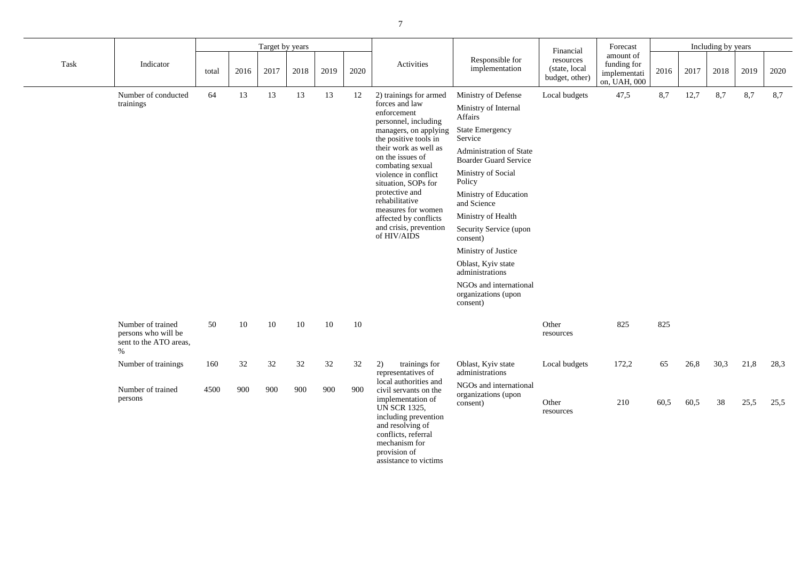| Financial                                     | Forecast                                                 |      |      | Including by years |      |      |  |
|-----------------------------------------------|----------------------------------------------------------|------|------|--------------------|------|------|--|
| resources<br>(state, local)<br>budget, other) | amount of<br>funding for<br>implementati<br>on, UAH, 000 | 2016 | 2017 | 2018               | 2019 | 2020 |  |
| Local budgets                                 | 47,5                                                     | 8.7  | 12,7 | 8.7                | 8.7  | 8,7  |  |

|      |                                                                            |       |      | Target by years |      |      |      |                                                                                                                                                                                |                                                           | Financial                                    | Forecast                                                 | Including by years |      |      |      |      |
|------|----------------------------------------------------------------------------|-------|------|-----------------|------|------|------|--------------------------------------------------------------------------------------------------------------------------------------------------------------------------------|-----------------------------------------------------------|----------------------------------------------|----------------------------------------------------------|--------------------|------|------|------|------|
| Task | Indicator                                                                  | total | 2016 | 2017            | 2018 | 2019 | 2020 | Activities                                                                                                                                                                     | Responsible for<br>implementation                         | resources<br>(state, local<br>budget, other) | amount of<br>funding for<br>implementati<br>on, UAH, 000 | 2016               | 2017 | 2018 | 2019 | 2020 |
|      | Number of conducted                                                        | 64    | 13   | 13              | 13   | 13   | 12   | 2) trainings for armed                                                                                                                                                         | Ministry of Defense                                       | Local budgets                                | 47,5                                                     | 8,7                | 12,7 | 8,7  | 8,7  | 8,7  |
|      | trainings                                                                  |       |      |                 |      |      |      | forces and law<br>enforcement<br>personnel, including                                                                                                                          | Ministry of Internal<br>Affairs                           |                                              |                                                          |                    |      |      |      |      |
|      |                                                                            |       |      |                 |      |      |      | managers, on applying<br>the positive tools in                                                                                                                                 | <b>State Emergency</b><br>Service                         |                                              |                                                          |                    |      |      |      |      |
|      |                                                                            |       |      |                 |      |      |      | their work as well as<br>on the issues of<br>combating sexual                                                                                                                  | Administration of State<br><b>Boarder Guard Service</b>   |                                              |                                                          |                    |      |      |      |      |
|      |                                                                            |       |      |                 |      |      |      | violence in conflict<br>situation, SOPs for                                                                                                                                    | Ministry of Social<br>Policy                              |                                              |                                                          |                    |      |      |      |      |
|      |                                                                            |       |      |                 |      |      |      | protective and<br>rehabilitative<br>measures for women                                                                                                                         | Ministry of Education<br>and Science                      |                                              |                                                          |                    |      |      |      |      |
|      |                                                                            |       |      |                 |      |      |      | affected by conflicts                                                                                                                                                          | Ministry of Health                                        |                                              |                                                          |                    |      |      |      |      |
|      |                                                                            |       |      |                 |      |      |      | and crisis, prevention<br>of HIV/AIDS                                                                                                                                          | Security Service (upon<br>consent)                        |                                              |                                                          |                    |      |      |      |      |
|      |                                                                            |       |      |                 |      |      |      |                                                                                                                                                                                | Ministry of Justice                                       |                                              |                                                          |                    |      |      |      |      |
|      |                                                                            |       |      |                 |      |      |      |                                                                                                                                                                                | Oblast, Kyiv state<br>administrations                     |                                              |                                                          |                    |      |      |      |      |
|      |                                                                            |       |      |                 |      |      |      |                                                                                                                                                                                | NGOs and international<br>organizations (upon<br>consent) |                                              |                                                          |                    |      |      |      |      |
|      | Number of trained<br>persons who will be<br>sent to the ATO areas,<br>$\%$ | 50    | 10   | 10              | 10   | 10   | 10   |                                                                                                                                                                                |                                                           | Other<br>resources                           | 825                                                      | 825                |      |      |      |      |
|      | Number of trainings                                                        | 160   | 32   | 32              | 32   | 32   | 32   | trainings for<br>2)<br>representatives of                                                                                                                                      | Oblast, Kyiv state<br>administrations                     | Local budgets                                | 172,2                                                    | 65                 | 26,8 | 30,3 | 21,8 | 28,3 |
|      | Number of trained<br>persons                                               | 4500  | 900  | 900             | 900  | 900  | 900  | local authorities and<br>civil servants on the<br>implementation of<br><b>UN SCR 1325,</b><br>including prevention<br>and resolving of<br>conflicts, referral<br>mechanism for | NGOs and international<br>organizations (upon<br>consent) | Other<br>resources                           | 210                                                      | 60,5               | 60,5 | 38   | 25,5 | 25,5 |

provision of

| Other<br>resources | 825   | 825  |      |      |      |      |
|--------------------|-------|------|------|------|------|------|
| Local budgets      | 172,2 | 65   | 26,8 | 30,3 | 21,8 | 28,3 |
| Other              | 210   | 60,5 | 60,5 | 38   | 25,5 | 25,5 |

assistance to victims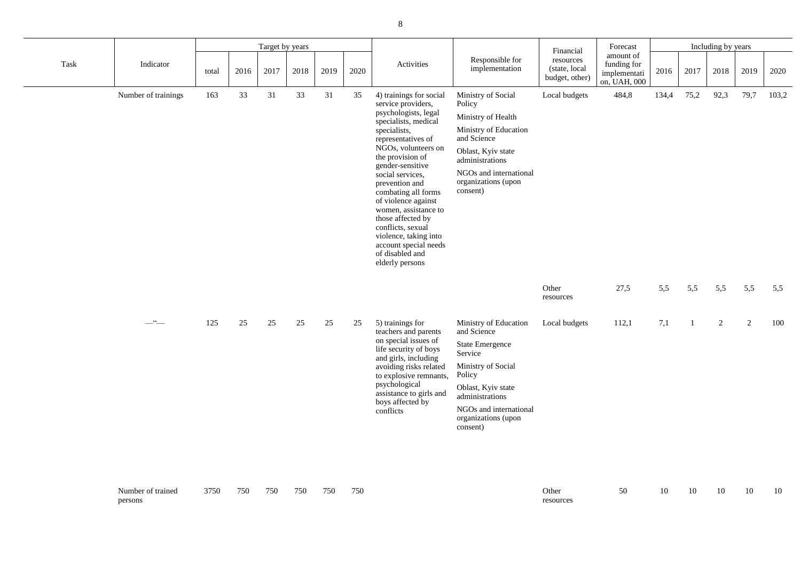| Financial                                     | Forecast                                                 |       |      | Including by years |      |       |
|-----------------------------------------------|----------------------------------------------------------|-------|------|--------------------|------|-------|
| resources<br>(state, local)<br>budget, other) | amount of<br>funding for<br>implementati<br>on, UAH, 000 | 2016  | 2017 | 2018               | 2019 | 2020  |
| Local budgets                                 | 484,8                                                    | 134,4 | 75.2 | 92,3               | 79.7 | 103.2 |

|      |                     | Target by years |      |      |        |      |      |                                                                                                                                                                                                                                                                                                                                                                                                                                                  |                                                                                                                                                                                                                 | Financial                                    | Forecast                                                 | Including by years |      |                |      |       |
|------|---------------------|-----------------|------|------|--------|------|------|--------------------------------------------------------------------------------------------------------------------------------------------------------------------------------------------------------------------------------------------------------------------------------------------------------------------------------------------------------------------------------------------------------------------------------------------------|-----------------------------------------------------------------------------------------------------------------------------------------------------------------------------------------------------------------|----------------------------------------------|----------------------------------------------------------|--------------------|------|----------------|------|-------|
| Task | Indicator           | total           | 2016 | 2017 | 2018   | 2019 | 2020 | Activities                                                                                                                                                                                                                                                                                                                                                                                                                                       | Responsible for<br>implementation                                                                                                                                                                               | resources<br>(state, local<br>budget, other) | amount of<br>funding for<br>implementati<br>on, UAH, 000 | 2016               | 2017 | 2018           | 2019 | 2020  |
|      | Number of trainings | 163             | 33   | 31   | 33     | 31   | 35   | 4) trainings for social<br>service providers,<br>psychologists, legal<br>specialists, medical<br>specialists,<br>representatives of<br>NGOs, volunteers on<br>the provision of<br>gender-sensitive<br>social services,<br>prevention and<br>combating all forms<br>of violence against<br>women, assistance to<br>those affected by<br>conflicts, sexual<br>violence, taking into<br>account special needs<br>of disabled and<br>elderly persons | Ministry of Social<br>Policy<br>Ministry of Health<br>Ministry of Education<br>and Science<br>Oblast, Kyiv state<br>administrations<br>NGOs and international<br>organizations (upon<br>consent)                | Local budgets                                | 484,8                                                    | 134,4              | 75,2 | 92,3           | 79,7 | 103,2 |
|      |                     |                 |      |      |        |      |      |                                                                                                                                                                                                                                                                                                                                                                                                                                                  |                                                                                                                                                                                                                 | Other<br>resources                           | 27,5                                                     | 5,5                | 5,5  | 5,5            | 5,5  | 5,5   |
|      | $-$ " $-$           | 125             | 25   | 25   | $25\,$ | 25   | 25   | 5) trainings for<br>teachers and parents<br>on special issues of<br>life security of boys<br>and girls, including<br>avoiding risks related<br>to explosive remnants,<br>psychological<br>assistance to girls and<br>boys affected by<br>conflicts                                                                                                                                                                                               | Ministry of Education<br>and Science<br><b>State Emergence</b><br>Service<br>Ministry of Social<br>Policy<br>Oblast, Kyiv state<br>administrations<br>NGOs and international<br>organizations (upon<br>consent) | Local budgets                                | 112,1                                                    | 7,1                |      | $\overline{2}$ | 2    | 100   |

| 27,5 5,5 5,5 5,5 5,5 5,5 |  |  |  |
|--------------------------|--|--|--|
|                          |  |  |  |
|                          |  |  |  |

| 112,1<br>Local budgets | 100 |
|------------------------|-----|
|------------------------|-----|

| Number of trained | 3750 | 750 | 750 | 750 | 750 | 750 | Other  |
|-------------------|------|-----|-----|-----|-----|-----|--------|
| persons           |      |     |     |     |     |     | resour |

┱

resources

┱

| 50 | 10 10 10 | 10 10 |  |
|----|----------|-------|--|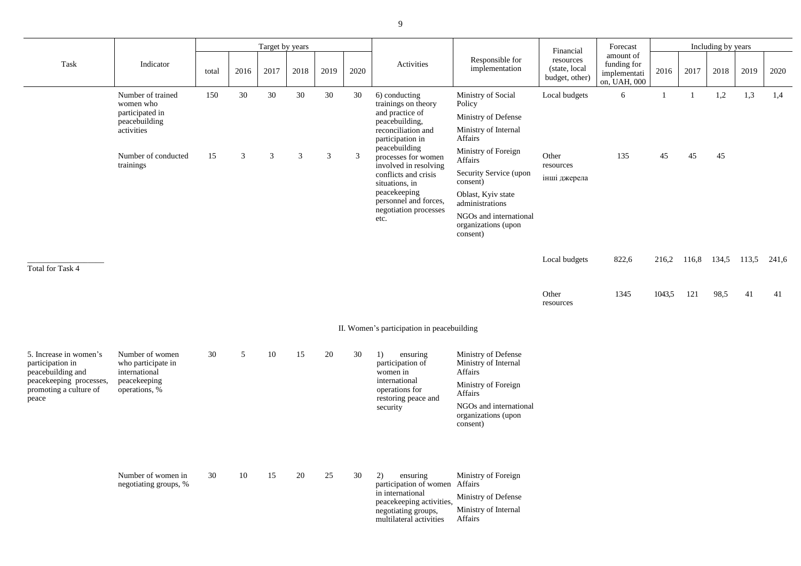Number of trained

women who participated in peacebuilding activities

|       | Target by years |                |                |                                               |                | Financial                              | Forecast                                                  | Including by years                           |                                                          |        |       |       |       |       |  |
|-------|-----------------|----------------|----------------|-----------------------------------------------|----------------|----------------------------------------|-----------------------------------------------------------|----------------------------------------------|----------------------------------------------------------|--------|-------|-------|-------|-------|--|
| total | 2016            | 2017           | 2018           | 2019                                          | 2020           | Activities                             | Responsible for<br>implementation                         | resources<br>(state, local<br>budget, other) | amount of<br>funding for<br>implementati<br>on, UAH, 000 | 2016   | 2017  | 2018  | 2019  | 2020  |  |
| 150   | 30              | 30             | 30             | 30                                            | 30             | 6) conducting<br>trainings on theory   | Ministry of Social<br>Policy                              | Local budgets                                | 6                                                        |        |       | 1,2   | 1,3   | 1,4   |  |
|       |                 |                |                |                                               |                | and practice of<br>peacebuilding,      | Ministry of Defense                                       |                                              |                                                          |        |       |       |       |       |  |
|       |                 |                |                |                                               |                | reconciliation and<br>participation in | Ministry of Internal<br>Affairs                           |                                              |                                                          |        |       |       |       |       |  |
| 15    | $\mathfrak{Z}$  | $\overline{3}$ | $\mathfrak{Z}$ | 3                                             | 3              | peacebuilding<br>processes for women   | Ministry of Foreign<br>Affairs                            | Other<br>resources                           | 135                                                      | 45     | 45    | 45    |       |       |  |
|       |                 |                |                | involved in resolving<br>conflicts and crisis | situations, in | Security Service (upon<br>consent)     | інші джерела                                              |                                              |                                                          |        |       |       |       |       |  |
|       |                 |                |                |                                               |                | peacekeeping<br>personnel and forces,  | Oblast, Kyiv state<br>administrations                     |                                              |                                                          |        |       |       |       |       |  |
|       |                 |                |                |                                               |                | negotiation processes<br>etc.          | NGOs and international<br>organizations (upon<br>consent) |                                              |                                                          |        |       |       |       |       |  |
|       |                 |                |                |                                               |                |                                        |                                                           | Local budgets                                | 822,6                                                    | 216,2  | 116,8 | 134,5 | 113,5 | 241,6 |  |
|       |                 |                |                |                                               |                |                                        |                                                           | Other<br>1000111000                          | 1345                                                     | 1043,5 | 121   | 98,5  | 41    | 41    |  |

| 150 | 30 | 30 | 30 | 30 | 30 | 6) conducting<br>trainings on theory                          | Ministry of Social<br>Policy           | Local           |
|-----|----|----|----|----|----|---------------------------------------------------------------|----------------------------------------|-----------------|
|     |    |    |    |    |    | and practice of<br>peacebuilding,                             | Ministry of Defense                    |                 |
|     |    |    |    |    |    | reconciliation and<br>participation in                        | Ministry of Internal<br><b>Affairs</b> |                 |
| 15  | 3  | 3  | 3  | 3  | 3  | peacebuilding<br>processes for women<br>involved in resolving | Ministry of Foreign<br><b>Affairs</b>  | Other<br>resour |
|     |    |    |    |    |    | conflicts and crisis<br>situations, in                        | Security Service (upon<br>consent)     | інші д          |
|     |    |    |    |    |    | peacekeeping<br>personnel and forces,                         | Oblast, Kyiv state<br>administrations  |                 |

Number of conducted

trainings

\_\_\_\_\_\_\_\_\_\_\_\_\_\_\_\_\_\_\_

Task Indicator

Total for Task 4

Other resources

II. Women's participation in peacebuilding

| 5. Increase in women's<br>participation in<br>peacebuilding and<br>peacekeeping processes,<br>promoting a culture of<br>peace | Number of women<br>who participate in<br>international<br>peacekeeping<br>operations, % | 30 | 5  | 10 | 15 | 20 | 30 | 1)<br>ensuring<br>participation of<br>women in<br>international<br>operations for<br>restoring peace and<br>security                       | Ministry of Defense<br>Ministry of Internal<br>Affairs<br>Ministry of Foreign<br><b>Affairs</b><br>NGOs and international<br>organizations (upon<br>consent) |
|-------------------------------------------------------------------------------------------------------------------------------|-----------------------------------------------------------------------------------------|----|----|----|----|----|----|--------------------------------------------------------------------------------------------------------------------------------------------|--------------------------------------------------------------------------------------------------------------------------------------------------------------|
|                                                                                                                               | Number of women in<br>negotiating groups, %                                             | 30 | 10 | 15 | 20 | 25 | 30 | 2)<br>ensuring<br>participation of women<br>in international<br>peacekeeping activities,<br>negotiating groups,<br>multilateral activities | Ministry of Foreign<br>Affairs<br>Ministry of Defense<br>Ministry of Internal<br>Affairs                                                                     |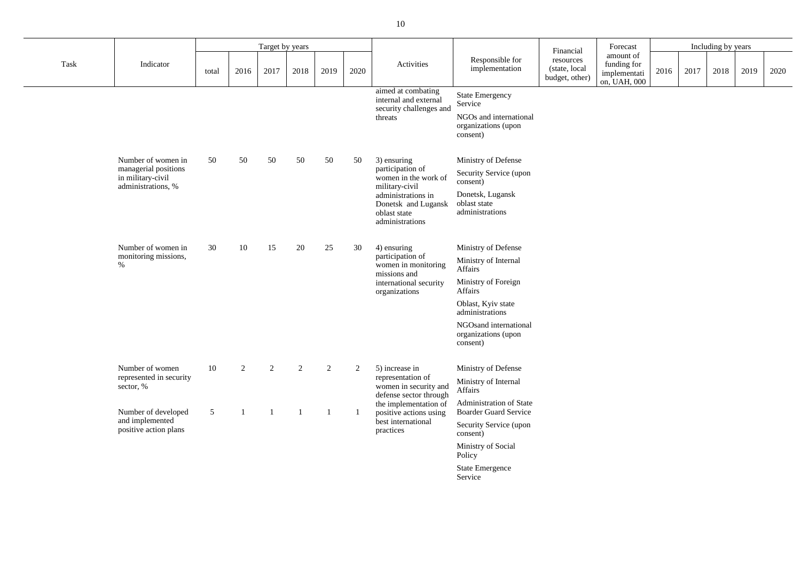|      |                                                                                       |                |                | Target by years |      |      |      |                                                                                                                                                           |                                                                                                                                                                                               | Financial                                    | Forecast                                                 |      |      | Including by years |      |      |
|------|---------------------------------------------------------------------------------------|----------------|----------------|-----------------|------|------|------|-----------------------------------------------------------------------------------------------------------------------------------------------------------|-----------------------------------------------------------------------------------------------------------------------------------------------------------------------------------------------|----------------------------------------------|----------------------------------------------------------|------|------|--------------------|------|------|
| Task | Indicator                                                                             | total          | 2016           | 2017            | 2018 | 2019 | 2020 | Activities                                                                                                                                                | Responsible for<br>implementation                                                                                                                                                             | resources<br>(state, local<br>budget, other) | amount of<br>funding for<br>implementati<br>on, UAH, 000 | 2016 | 2017 | 2018               | 2019 | 2020 |
|      |                                                                                       |                |                |                 |      |      |      | aimed at combating<br>internal and external<br>security challenges and<br>threats                                                                         | <b>State Emergency</b><br>Service<br>NGOs and international<br>organizations (upon<br>consent)                                                                                                |                                              |                                                          |      |      |                    |      |      |
|      | Number of women in<br>managerial positions<br>in military-civil<br>administrations, % | 50             | 50             | 50              | 50   | 50   | 50   | 3) ensuring<br>participation of<br>women in the work of<br>military-civil<br>administrations in<br>Donetsk and Lugansk<br>oblast state<br>administrations | Ministry of Defense<br>Security Service (upon<br>consent)<br>Donetsk, Lugansk<br>oblast state<br>administrations                                                                              |                                              |                                                          |      |      |                    |      |      |
|      | Number of women in<br>monitoring missions,<br>$\%$                                    | 30             | 10             | 15              | 20   | 25   | 30   | 4) ensuring<br>participation of<br>women in monitoring<br>missions and<br>international security<br>organizations                                         | Ministry of Defense<br>Ministry of Internal<br>Affairs<br>Ministry of Foreign<br>Affairs<br>Oblast, Kyiv state<br>administrations<br>NGOsand international<br>organizations (upon<br>consent) |                                              |                                                          |      |      |                    |      |      |
|      | Number of women<br>represented in security<br>sector, %                               | 10             | 2              | $\overline{2}$  | 2    | 2    | 2    | 5) increase in<br>representation of<br>women in security and<br>defense sector through                                                                    | Ministry of Defense<br>Ministry of Internal<br>Affairs<br>Administration of State                                                                                                             |                                              |                                                          |      |      |                    |      |      |
|      | Number of developed<br>and implemented<br>positive action plans                       | 5 <sup>5</sup> | $\overline{1}$ |                 |      |      |      | the implementation of<br>positive actions using<br>best international<br>practices                                                                        | <b>Boarder Guard Service</b><br>Security Service (upon<br>consent)<br>Ministry of Social<br>Policy<br><b>State Emergence</b><br>Service                                                       |                                              |                                                          |      |      |                    |      |      |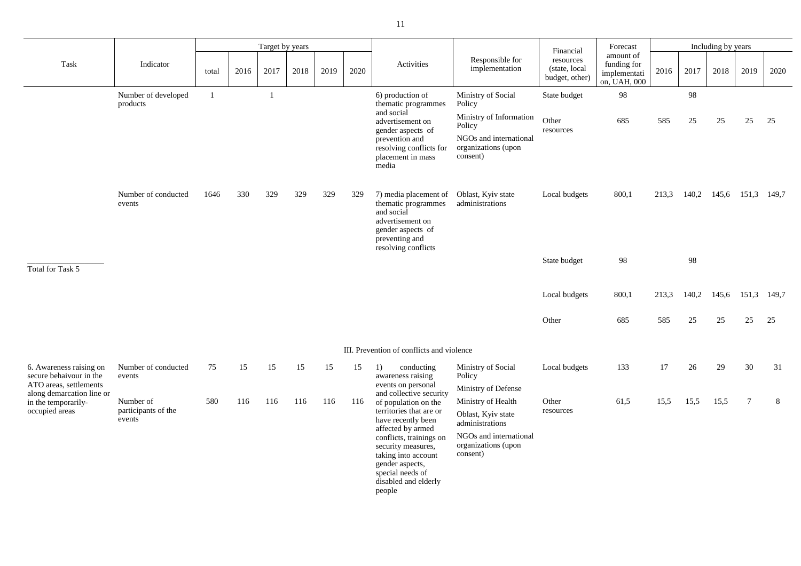|                                                                              |                                  |       |      | Target by years |      |      |      |                                                                                                                                               |                                                                   | Financial                                    | Forecast                                                 |       |          | Including by years |       |       |
|------------------------------------------------------------------------------|----------------------------------|-------|------|-----------------|------|------|------|-----------------------------------------------------------------------------------------------------------------------------------------------|-------------------------------------------------------------------|----------------------------------------------|----------------------------------------------------------|-------|----------|--------------------|-------|-------|
| Task                                                                         | Indicator                        | total | 2016 | 2017            | 2018 | 2019 | 2020 | Activities                                                                                                                                    | Responsible for<br>implementation                                 | resources<br>(state, local<br>budget, other) | amount of<br>funding for<br>implementati<br>on, UAH, 000 | 2016  | 2017     | 2018               | 2019  | 2020  |
|                                                                              | Number of developed<br>products  |       |      |                 |      |      |      | 6) production of<br>thematic programmes<br>and social<br>advertisement on                                                                     | Ministry of Social<br>Policy<br>Ministry of Information<br>Policy | State budget<br>Other                        | 98<br>685                                                | 585   | 98<br>25 | 25                 | 25    | 25    |
|                                                                              |                                  |       |      |                 |      |      |      | gender aspects of<br>prevention and<br>resolving conflicts for<br>placement in mass<br>media                                                  | NGOs and international<br>organizations (upon<br>consent)         | resources                                    |                                                          |       |          |                    |       |       |
|                                                                              | Number of conducted<br>events    | 1646  | 330  | 329             | 329  | 329  | 329  | 7) media placement of<br>thematic programmes<br>and social<br>advertisement on<br>gender aspects of<br>preventing and<br>resolving conflicts  | Oblast, Kyiv state<br>administrations                             | Local budgets                                | 800,1                                                    | 213,3 | 140,2    | 145,6              | 151,3 | 149,7 |
| Total for Task 5                                                             |                                  |       |      |                 |      |      |      |                                                                                                                                               |                                                                   | State budget                                 | 98                                                       |       | 98       |                    |       |       |
|                                                                              |                                  |       |      |                 |      |      |      |                                                                                                                                               |                                                                   | Local budgets                                | 800,1                                                    | 213,3 | 140,2    | 145,6              | 151,3 | 149,7 |
|                                                                              |                                  |       |      |                 |      |      |      |                                                                                                                                               |                                                                   | Other                                        | 685                                                      | 585   | 25       | 25                 | 25    | 25    |
|                                                                              |                                  |       |      |                 |      |      |      | III. Prevention of conflicts and violence                                                                                                     |                                                                   |                                              |                                                          |       |          |                    |       |       |
| 6. Awareness raising on<br>secure behaivour in the<br>ATO areas, settlements | Number of conducted<br>events    | 75    | 15   | 15              | 15   | 15   | 15   | conducting<br>1)<br>awareness raising<br>events on personal                                                                                   | Ministry of Social<br>Policy<br>Ministry of Defense               | Local budgets                                | 133                                                      | 17    | 26       | 29                 | 30    | 31    |
| along demarcation line or<br>in the temporarily-<br>occupied areas           | Number of<br>participants of the | 580   | 116  | 116             | 116  | 116  | 116  | and collective security<br>of population on the<br>territories that are or                                                                    | Ministry of Health                                                | Other<br>resources                           | 61,5                                                     | 15,5  | 15,5     | 15,5               | 7     | 8     |
|                                                                              | events                           |       |      |                 |      |      |      | have recently been<br>affected by armed                                                                                                       | Oblast, Kyiv state<br>administrations                             |                                              |                                                          |       |          |                    |       |       |
|                                                                              |                                  |       |      |                 |      |      |      | conflicts, trainings on<br>security measures,<br>taking into account<br>gender aspects,<br>special needs of<br>disabled and elderly<br>people | NGOs and international<br>organizations (upon<br>consent)         |                                              |                                                          |       |          |                    |       |       |
|                                                                              |                                  |       |      |                 |      |      |      |                                                                                                                                               |                                                                   |                                              |                                                          |       |          |                    |       |       |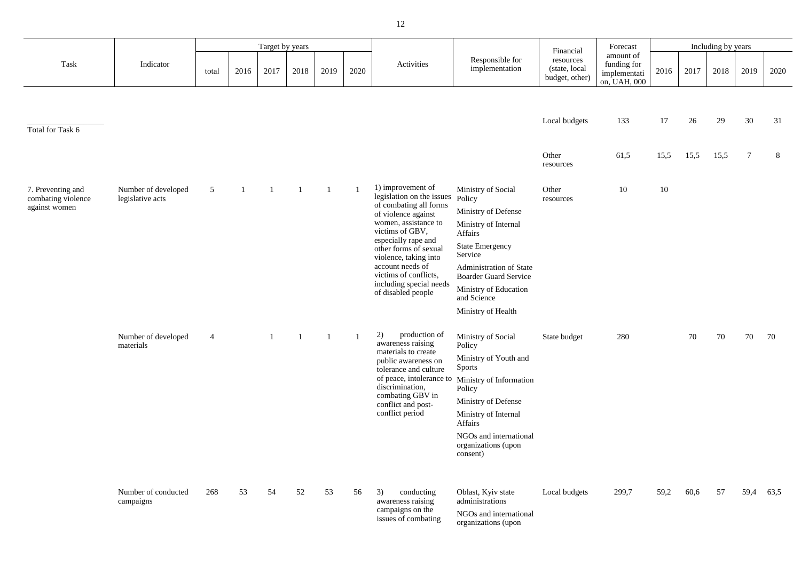|                                                          |                                         |                |                | Target by years |      |                |              |                                                                                                                                                                                                                                                                                                                   |                                                                                                                                                                                                                                                      |                                                           | Forecast                                                 |      |      | Including by years |                |      |
|----------------------------------------------------------|-----------------------------------------|----------------|----------------|-----------------|------|----------------|--------------|-------------------------------------------------------------------------------------------------------------------------------------------------------------------------------------------------------------------------------------------------------------------------------------------------------------------|------------------------------------------------------------------------------------------------------------------------------------------------------------------------------------------------------------------------------------------------------|-----------------------------------------------------------|----------------------------------------------------------|------|------|--------------------|----------------|------|
| Task                                                     | Indicator                               | total          | 2016           | 2017            | 2018 | 2019           | 2020         | Activities                                                                                                                                                                                                                                                                                                        | Responsible for<br>implementation                                                                                                                                                                                                                    | Financial<br>resources<br>(state, local<br>budget, other) | amount of<br>funding for<br>implementati<br>on, UAH, 000 | 2016 | 2017 | 2018               | 2019           | 2020 |
| Total for Task 6                                         |                                         |                |                |                 |      |                |              |                                                                                                                                                                                                                                                                                                                   |                                                                                                                                                                                                                                                      | Local budgets                                             | 133                                                      | 17   | 26   | 29                 | 30             | 31   |
|                                                          |                                         |                |                |                 |      |                |              |                                                                                                                                                                                                                                                                                                                   |                                                                                                                                                                                                                                                      | Other<br>resources                                        | 61,5                                                     | 15,5 | 15,5 | 15,5               | $\overline{7}$ | 8    |
| 7. Preventing and<br>combating violence<br>against women | Number of developed<br>legislative acts | 5 <sup>5</sup> | $\overline{1}$ | $\mathbf{1}$    |      | $\overline{1}$ | $\mathbf{1}$ | 1) improvement of<br>legislation on the issues<br>of combating all forms<br>of violence against<br>women, assistance to<br>victims of GBV,<br>especially rape and<br>other forms of sexual<br>violence, taking into<br>account needs of<br>victims of conflicts,<br>including special needs<br>of disabled people | Ministry of Social<br>Policy<br>Ministry of Defense<br>Ministry of Internal<br>Affairs<br><b>State Emergency</b><br>Service<br>Administration of State<br><b>Boarder Guard Service</b><br>Ministry of Education<br>and Science<br>Ministry of Health | Other<br>resources                                        | 10                                                       | 10   |      |                    |                |      |
|                                                          | Number of developed<br>materials        | $\overline{4}$ |                |                 |      |                |              | 2) production of<br>awareness raising<br>materials to create<br>public awareness on<br>tolerance and culture<br>of peace, intolerance to<br>discrimination,<br>combating GBV in<br>conflict and post-<br>conflict period                                                                                          | Ministry of Social<br>Policy<br>Ministry of Youth and<br><b>Sports</b><br>Ministry of Information<br>Policy<br>Ministry of Defense<br>Ministry of Internal<br>Affairs<br>NGOs and international<br>organizations (upon<br>consent)                   | State budget                                              | 280                                                      |      | 70   | 70                 | 70             | 70   |
|                                                          | Number of conducted<br>campaigns        | 268            | 53             | 54              | 52   | 53             | 56           | 3)<br>conducting<br>awareness raising<br>campaigns on the<br>issues of combating                                                                                                                                                                                                                                  | Oblast, Kyiv state<br>administrations<br>NGOs and international<br>organizations (upon                                                                                                                                                               | Local budgets                                             | 299,7                                                    | 59,2 | 60,6 | 57                 | 59,4           | 63,5 |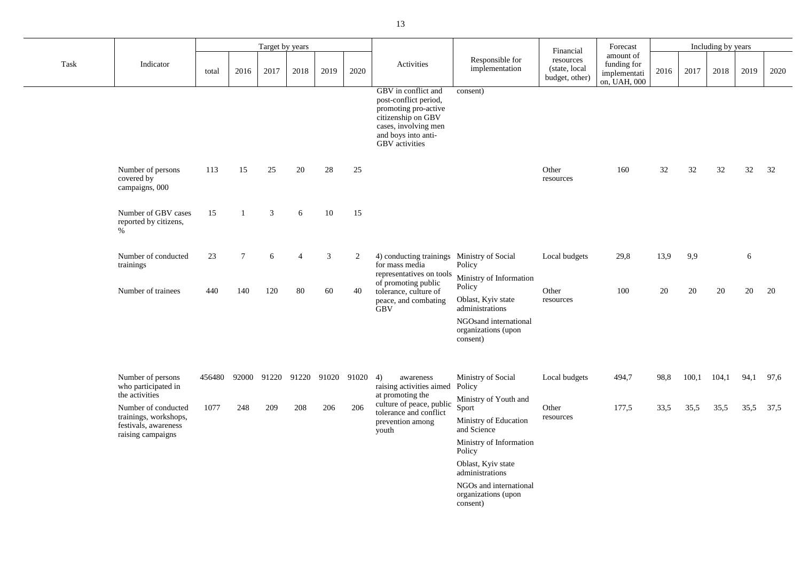|      |                                                                                           |        |                 | Target by years |                |                |       |                                                                                                                                                                    |                                                                                                             | Financial                                    | Forecast                                                 |      |       | Including by years |      |      |
|------|-------------------------------------------------------------------------------------------|--------|-----------------|-----------------|----------------|----------------|-------|--------------------------------------------------------------------------------------------------------------------------------------------------------------------|-------------------------------------------------------------------------------------------------------------|----------------------------------------------|----------------------------------------------------------|------|-------|--------------------|------|------|
| Task | Indicator                                                                                 | total  | 2016            | 2017            | 2018           | 2019           | 2020  | Activities                                                                                                                                                         | Responsible for<br>implementation                                                                           | resources<br>(state, local<br>budget, other) | amount of<br>funding for<br>implementati<br>on, UAH, 000 | 2016 | 2017  | 2018               | 2019 | 2020 |
|      |                                                                                           |        |                 |                 |                |                |       | GBV in conflict and<br>post-conflict period,<br>promoting pro-active<br>citizenship on GBV<br>cases, involving men<br>and boys into anti-<br><b>GBV</b> activities | consent)                                                                                                    |                                              |                                                          |      |       |                    |      |      |
|      | Number of persons<br>covered by<br>campaigns, 000                                         | 113    | 15              | 25              | 20             | 28             | 25    |                                                                                                                                                                    |                                                                                                             | Other<br>resources                           | 160                                                      | 32   | 32    | 32                 | 32   | 32   |
|      | Number of GBV cases<br>reported by citizens,<br>$\%$                                      | 15     |                 | $\mathfrak{Z}$  | 6              | 10             | 15    |                                                                                                                                                                    |                                                                                                             |                                              |                                                          |      |       |                    |      |      |
|      | Number of conducted<br>trainings                                                          | 23     | $7\phantom{.0}$ | 6               | $\overline{4}$ | $\mathfrak{Z}$ | 2     | 4) conducting trainings Ministry of Social<br>for mass media<br>representatives on tools                                                                           | Policy<br>Ministry of Information                                                                           | Local budgets                                | 29,8                                                     | 13,9 | 9,9   |                    | 6    |      |
|      | Number of trainees                                                                        | 440    | 140             | 120             | 80             | 60             | 40    | of promoting public<br>tolerance, culture of<br>peace, and combating<br><b>GBV</b>                                                                                 | Policy<br>Oblast, Kyiv state<br>administrations<br>NGOsand international<br>organizations (upon<br>consent) | Other<br>resources                           | 100                                                      | 20   | 20    | 20                 | 20   | 20   |
|      | Number of persons<br>who participated in<br>the activities                                | 456480 | 92000           | 91220 91220     |                | 91020          | 91020 | 4)<br>awareness<br>raising activities aimed<br>at promoting the                                                                                                    | Ministry of Social<br>Policy<br>Ministry of Youth and                                                       | Local budgets                                | 494,7                                                    | 98,8 | 100,1 | 104,1              | 94,1 | 97,6 |
|      | Number of conducted<br>trainings, workshops,<br>festivals, awareness<br>raising campaigns | 1077   | 248             | 209             | 208            | 206            | 206   | culture of peace, public<br>tolerance and conflict<br>prevention among<br>youth                                                                                    | Sport<br>Ministry of Education<br>and Science<br>Ministry of Information<br>Policy<br>Oblast, Kyiv state    | Other<br>resources                           | 177,5                                                    | 33,5 | 35,5  | 35,5               | 35,5 | 37,5 |
|      |                                                                                           |        |                 |                 |                |                |       |                                                                                                                                                                    | administrations<br>NGOs and international<br>organizations (upon<br>consent)                                |                                              |                                                          |      |       |                    |      |      |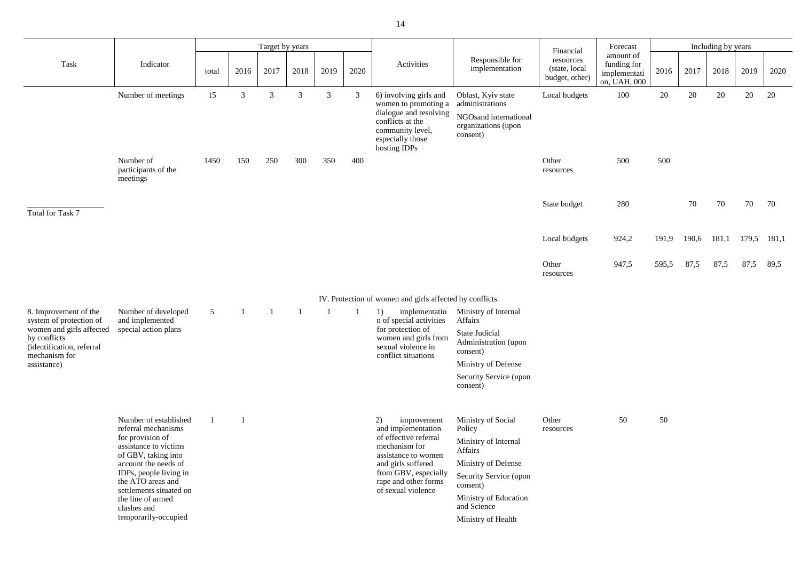|                                                                              |                                                                     |                |      | Target by years |                |                |      |                                                                                                                                                      |                                                                                                   | Financial                                     | Forecast                                                 |       |       | Including by years |       |       |
|------------------------------------------------------------------------------|---------------------------------------------------------------------|----------------|------|-----------------|----------------|----------------|------|------------------------------------------------------------------------------------------------------------------------------------------------------|---------------------------------------------------------------------------------------------------|-----------------------------------------------|----------------------------------------------------------|-------|-------|--------------------|-------|-------|
| Task                                                                         | Indicator                                                           | total          | 2016 | 2017            | 2018           | 2019           | 2020 | Activities                                                                                                                                           | Responsible for<br>implementation                                                                 | resources<br>(state, local)<br>budget, other) | amount of<br>funding for<br>implementati<br>on, UAH, 000 | 2016  | 2017  | 2018               | 2019  | 2020  |
|                                                                              | Number of meetings                                                  | 15             | 3    | 3               | $\mathfrak{Z}$ | $\mathfrak{Z}$ | 3    | 6) involving girls and<br>women to promoting a<br>dialogue and resolving<br>conflicts at the<br>community level,<br>especially those<br>hosting IDPs | Oblast, Kyiv state<br>administrations<br>NGOsand international<br>organizations (upon<br>consent) | Local budgets                                 | 100                                                      | 20    | 20    | 20                 | 20    | 20    |
|                                                                              | Number of<br>participants of the<br>meetings                        | 1450           | 150  | 250             | 300            | 350            | 400  |                                                                                                                                                      |                                                                                                   | Other<br>resources                            | 500                                                      | 500   |       |                    |       |       |
| Total for Task 7                                                             |                                                                     |                |      |                 |                |                |      |                                                                                                                                                      |                                                                                                   | State budget                                  | 280                                                      |       | 70    | 70                 | 70    | 70    |
|                                                                              |                                                                     |                |      |                 |                |                |      |                                                                                                                                                      |                                                                                                   | Local budgets                                 | 924,2                                                    | 191,9 | 190,6 | 181,1              | 179,5 | 181,1 |
|                                                                              |                                                                     |                |      |                 |                |                |      |                                                                                                                                                      |                                                                                                   | Other<br>resources                            | 947,5                                                    | 595,5 | 87,5  | 87,5               | 87,5  | 89,5  |
|                                                                              |                                                                     |                |      |                 |                |                |      | IV. Protection of women and girls affected by conflicts                                                                                              |                                                                                                   |                                               |                                                          |       |       |                    |       |       |
| 8. Improvement of the<br>system of protection of<br>women and girls affected | Number of developed<br>and implemented<br>special action plans      | 5 <sup>5</sup> |      |                 |                |                |      | implementatio<br>1)<br>n of special activities<br>for protection of                                                                                  | Ministry of Internal<br>Affairs                                                                   |                                               |                                                          |       |       |                    |       |       |
| by conflicts<br>(identification, referral<br>mechanism for                   |                                                                     |                |      |                 |                |                |      | women and girls from<br>sexual violence in<br>conflict situations                                                                                    | <b>State Judicial</b><br>Administration (upon<br>consent)                                         |                                               |                                                          |       |       |                    |       |       |
| assistance)                                                                  |                                                                     |                |      |                 |                |                |      |                                                                                                                                                      | Ministry of Defense                                                                               |                                               |                                                          |       |       |                    |       |       |
|                                                                              |                                                                     |                |      |                 |                |                |      |                                                                                                                                                      | Security Service (upon<br>consent)                                                                |                                               |                                                          |       |       |                    |       |       |
|                                                                              | Number of established<br>referral mechanisms<br>for provision of    |                |      |                 |                |                |      | 2)<br>improvement<br>and implementation<br>of effective referral                                                                                     | Ministry of Social<br>Policy<br>Ministry of Internal                                              | Other<br>resources                            | 50                                                       | 50    |       |                    |       |       |
|                                                                              | assistance to victims<br>of GBV, taking into                        |                |      |                 |                |                |      | mechanism for<br>assistance to women                                                                                                                 | Affairs                                                                                           |                                               |                                                          |       |       |                    |       |       |
|                                                                              | account the needs of<br>IDPs, people living in<br>the ATO areas and |                |      |                 |                |                |      | and girls suffered<br>from GBV, especially<br>rape and other forms                                                                                   | Ministry of Defense<br>Security Service (upon<br>consent)                                         |                                               |                                                          |       |       |                    |       |       |
|                                                                              | settlements situated on<br>the line of armed<br>clashes and         |                |      |                 |                |                |      | of sexual violence                                                                                                                                   | Ministry of Education<br>and Science                                                              |                                               |                                                          |       |       |                    |       |       |
|                                                                              | temporarily-occupied                                                |                |      |                 |                |                |      |                                                                                                                                                      | Ministry of Health                                                                                |                                               |                                                          |       |       |                    |       |       |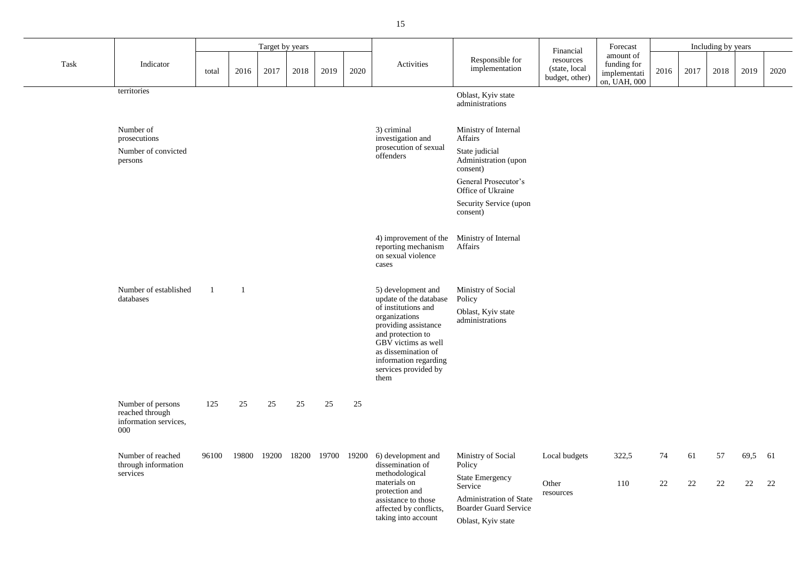|      |                                                                      |       |                | Target by years |       |       |       |                                                                                                                                                                                                                                          | Financial                                                                                    | Forecast                                     |                                                          |      | Including by years |      |      |      |
|------|----------------------------------------------------------------------|-------|----------------|-----------------|-------|-------|-------|------------------------------------------------------------------------------------------------------------------------------------------------------------------------------------------------------------------------------------------|----------------------------------------------------------------------------------------------|----------------------------------------------|----------------------------------------------------------|------|--------------------|------|------|------|
| Task | Indicator                                                            | total | 2016           | 2017            | 2018  | 2019  | 2020  | Activities                                                                                                                                                                                                                               | Responsible for<br>implementation                                                            | resources<br>(state, local<br>budget, other) | amount of<br>funding for<br>implementati<br>on, UAH, 000 | 2016 | 2017               | 2018 | 2019 | 2020 |
|      | territories                                                          |       |                |                 |       |       |       |                                                                                                                                                                                                                                          | Oblast, Kyiv state                                                                           |                                              |                                                          |      |                    |      |      |      |
|      |                                                                      |       |                |                 |       |       |       |                                                                                                                                                                                                                                          | administrations                                                                              |                                              |                                                          |      |                    |      |      |      |
|      | Number of<br>prosecutions                                            |       |                |                 |       |       |       | 3) criminal<br>investigation and                                                                                                                                                                                                         | Ministry of Internal<br>Affairs                                                              |                                              |                                                          |      |                    |      |      |      |
|      | Number of convicted<br>persons                                       |       |                |                 |       |       |       | prosecution of sexual<br>offenders                                                                                                                                                                                                       | State judicial<br>Administration (upon<br>consent)                                           |                                              |                                                          |      |                    |      |      |      |
|      |                                                                      |       |                |                 |       |       |       |                                                                                                                                                                                                                                          | General Prosecutor's<br>Office of Ukraine                                                    |                                              |                                                          |      |                    |      |      |      |
|      |                                                                      |       |                |                 |       |       |       |                                                                                                                                                                                                                                          | Security Service (upon<br>consent)                                                           |                                              |                                                          |      |                    |      |      |      |
|      |                                                                      |       |                |                 |       |       |       | 4) improvement of the<br>reporting mechanism<br>on sexual violence<br>cases                                                                                                                                                              | Ministry of Internal<br>Affairs                                                              |                                              |                                                          |      |                    |      |      |      |
|      | Number of established<br>databases                                   |       | $\blacksquare$ |                 |       |       |       | 5) development and<br>update of the database<br>of institutions and<br>organizations<br>providing assistance<br>and protection to<br>GBV victims as well<br>as dissemination of<br>information regarding<br>services provided by<br>them | Ministry of Social<br>Policy<br>Oblast, Kyiv state<br>administrations                        |                                              |                                                          |      |                    |      |      |      |
|      | Number of persons<br>reached through<br>information services,<br>000 | 125   | 25             | 25              | 25    | 25    | 25    |                                                                                                                                                                                                                                          |                                                                                              |                                              |                                                          |      |                    |      |      |      |
|      | Number of reached<br>through information                             | 96100 | 19800          | 19200           | 18200 | 19700 | 19200 | 6) development and<br>dissemination of<br>Policy                                                                                                                                                                                         | Ministry of Social                                                                           | Local budgets                                | 322,5                                                    | 74   | 61                 | 57   | 69,5 | 61   |
|      | services                                                             |       |                |                 |       |       |       | methodological<br>materials on<br>protection and<br>assistance to those<br>affected by conflicts,                                                                                                                                        | <b>State Emergency</b><br>Service<br>Administration of State<br><b>Boarder Guard Service</b> | Other<br>resources                           | 110                                                      | 22   | 22                 | 22   | 22   | 22   |
|      |                                                                      |       |                |                 |       |       |       | taking into account                                                                                                                                                                                                                      | Oblast, Kyiv state                                                                           |                                              |                                                          |      |                    |      |      |      |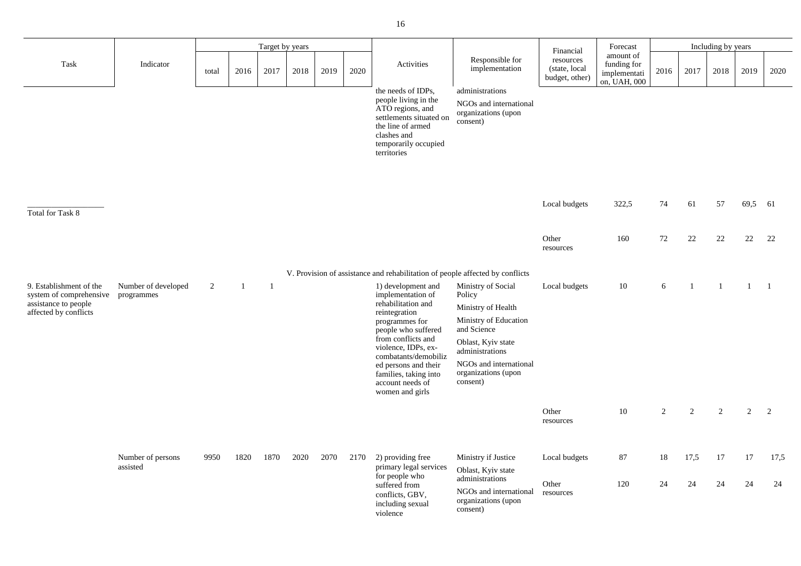| Forecast                                                 |      |      | Including by years |      |      |
|----------------------------------------------------------|------|------|--------------------|------|------|
| amount of<br>funding for<br>implementati<br>on, UAH, 000 | 2016 | 2017 | 2018               | 2019 | 2020 |

|                                                                                                     |                                   |       |                          | Target by years          |      |      |      |                                                                                                                                                                                                                                                                                      |                                                                                                                                                                                                  | Financial                                    | Forecast                                                 |                |            | Including by years |               |                |
|-----------------------------------------------------------------------------------------------------|-----------------------------------|-------|--------------------------|--------------------------|------|------|------|--------------------------------------------------------------------------------------------------------------------------------------------------------------------------------------------------------------------------------------------------------------------------------------|--------------------------------------------------------------------------------------------------------------------------------------------------------------------------------------------------|----------------------------------------------|----------------------------------------------------------|----------------|------------|--------------------|---------------|----------------|
| Task                                                                                                | Indicator                         | total | 2016                     | 2017                     | 2018 | 2019 | 2020 | Activities                                                                                                                                                                                                                                                                           | Responsible for<br>implementation                                                                                                                                                                | resources<br>(state, local<br>budget, other) | amount of<br>funding for<br>implementati<br>on, UAH, 000 | 2016           | 2017       | 2018               | 2019          | 2020           |
|                                                                                                     |                                   |       |                          |                          |      |      |      | the needs of IDPs,<br>people living in the<br>ATO regions, and<br>settlements situated on<br>the line of armed<br>clashes and<br>temporarily occupied<br>territories                                                                                                                 | administrations<br>NGOs and international<br>organizations (upon<br>consent)                                                                                                                     |                                              |                                                          |                |            |                    |               |                |
| <b>Total for Task 8</b>                                                                             |                                   |       |                          |                          |      |      |      |                                                                                                                                                                                                                                                                                      |                                                                                                                                                                                                  | Local budgets                                | 322,5                                                    | 74             | 61         | 57                 | 69,5          | 61             |
|                                                                                                     |                                   |       |                          |                          |      |      |      |                                                                                                                                                                                                                                                                                      |                                                                                                                                                                                                  | Other<br>resources                           | 160                                                      | 72             | 22         | 22                 | 22            | 22             |
|                                                                                                     |                                   |       |                          |                          |      |      |      | V. Provision of assistance and rehabilitation of people affected by conflicts                                                                                                                                                                                                        |                                                                                                                                                                                                  |                                              |                                                          |                |            |                    |               |                |
| 9. Establishment of the<br>system of comprehensive<br>assistance to people<br>affected by conflicts | Number of developed<br>programmes | 2     | $\overline{\phantom{0}}$ | $\overline{\phantom{a}}$ |      |      |      | 1) development and<br>implementation of<br>rehabilitation and<br>reintegration<br>programmes for<br>people who suffered<br>from conflicts and<br>violence, IDPs, ex-<br>combatants/demobiliz<br>ed persons and their<br>families, taking into<br>account needs of<br>women and girls | Ministry of Social<br>Policy<br>Ministry of Health<br>Ministry of Education<br>and Science<br>Oblast, Kyiv state<br>administrations<br>NGOs and international<br>organizations (upon<br>consent) | Local budgets                                | 10                                                       | 6              |            |                    |               | $\overline{1}$ |
|                                                                                                     |                                   |       |                          |                          |      |      |      |                                                                                                                                                                                                                                                                                      |                                                                                                                                                                                                  | Other<br>resources                           | 10                                                       | $\overline{2}$ | 2          | 2                  | $\mathcal{D}$ | 2              |
|                                                                                                     | Number of persons<br>assisted     | 9950  | 1820                     | 1870                     | 2020 | 2070 | 2170 | 2) providing free<br>primary legal services<br>for people who<br>suffered from<br>conflicts, GBV,<br>including sexual                                                                                                                                                                | Ministry if Justice<br>Oblast, Kyiv state<br>administrations<br>NGOs and international<br>organizations (upon                                                                                    | Local budgets<br>Other<br>resources          | 87<br>120                                                | 18<br>24       | 17,5<br>24 | 17<br>24           | 17<br>24      | 17,5<br>24     |

| Local budgets      | 322,5 | 74             | 61             | 57             | 69,5                                                    | 61           |  |
|--------------------|-------|----------------|----------------|----------------|---------------------------------------------------------|--------------|--|
| Other<br>resources | 160   | 72             | 22             | 22             | 22                                                      | $22\,$       |  |
| Local budgets      | 10    | 6              | $\mathbf{1}$   |                | $\begin{array}{ccc} 1 & \hspace{1.5cm} & 1 \end{array}$ | $\mathbf{1}$ |  |
|                    |       |                |                |                |                                                         |              |  |
| Other<br>resources | 10    | $\overline{2}$ | $\overline{2}$ | $\overline{2}$ | $\mathbf{2}$                                            | $\mathbf{2}$ |  |
| Local budgets      | 87    | 18             | 17,5           | 17             | 17                                                      | 17,5         |  |
| Other<br>$\cdots$  | 120   | 24             | 24             | 24             | 24                                                      | 24           |  |

violence

consent)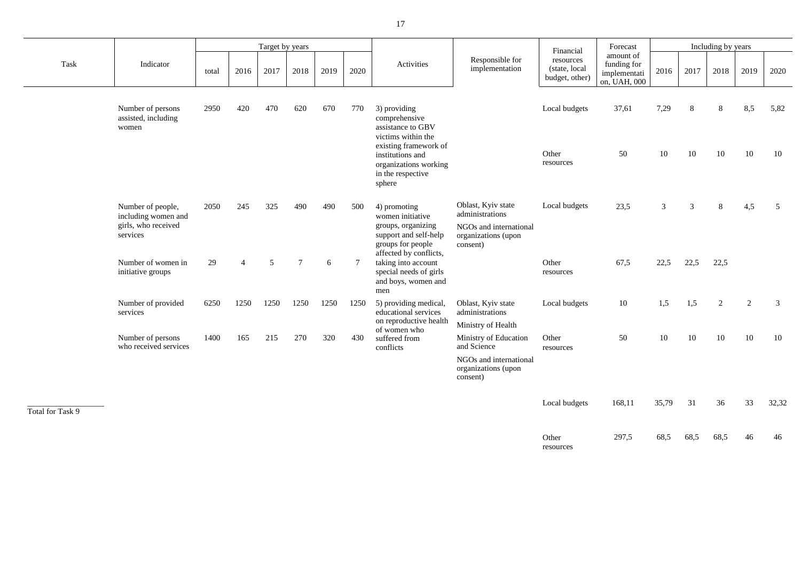|      |                                                                             |       |                | Target by years |                |      |                |                                                                                                                                                                               |                                                                                                    | Financial                                     | Forecast                                                 |                |         | Including by years |                             |            |
|------|-----------------------------------------------------------------------------|-------|----------------|-----------------|----------------|------|----------------|-------------------------------------------------------------------------------------------------------------------------------------------------------------------------------|----------------------------------------------------------------------------------------------------|-----------------------------------------------|----------------------------------------------------------|----------------|---------|--------------------|-----------------------------|------------|
| Task | Indicator                                                                   | total | 2016           | 2017            | 2018           | 2019 | 2020           | Activities                                                                                                                                                                    | Responsible for<br>implementation                                                                  | resources<br>(state, local)<br>budget, other) | amount of<br>funding for<br>implementati<br>on, UAH, 000 | 2016           | 2017    | 2018               | 2019                        | 2020       |
|      | Number of persons<br>assisted, including<br>women                           | 2950  | 420            | 470             | 620            | 670  | 770            | 3) providing<br>comprehensive<br>assistance to GBV<br>victims within the<br>existing framework of<br>institutions and<br>organizations working<br>in the respective<br>sphere |                                                                                                    | Local budgets<br>Other<br>resources           | 37,61<br>50                                              | 7,29<br>10     | 8<br>10 | 8<br>10            | 8,5<br>10                   | 5,82<br>10 |
|      | Number of people,<br>including women and<br>girls, who received<br>services | 2050  | 245            | 325             | 490            | 490  | 500            | 4) promoting<br>women initiative<br>groups, organizing<br>support and self-help<br>groups for people<br>affected by conflicts,                                                | Oblast, Kyiv state<br>administrations<br>NGOs and international<br>organizations (upon<br>consent) | Local budgets                                 | 23,5                                                     | $\mathfrak{Z}$ | 3       | 8                  | 4,5                         | 5          |
|      | Number of women in<br>initiative groups                                     | 29    | $\overline{4}$ | 5               | $\overline{7}$ | 6    | $\overline{7}$ | taking into account<br>special needs of girls<br>and boys, women and<br>men                                                                                                   |                                                                                                    | Other<br>resources                            | 67,5                                                     | 22,5           | 22,5    | 22,5               |                             |            |
|      | Number of provided<br>services                                              | 6250  | 1250           | 1250            | 1250           | 1250 | 1250           | 5) providing medical,<br>educational services<br>on reproductive health                                                                                                       | Oblast, Kyiv state<br>administrations<br>Ministry of Health                                        | Local budgets                                 | 10                                                       | 1,5            | 1,5     | 2                  | $\mathcal{D}_{\mathcal{L}}$ | 3          |
|      | Number of persons<br>who received services                                  | 1400  | 165            | 215             | 270            | 320  | 430            | of women who<br>suffered from<br>conflicts                                                                                                                                    | Ministry of Education<br>and Science<br>NGOs and international<br>organizations (upon              | Other<br>resources                            | 50                                                       | 10             | 10      | 10                 | 10                          | 10         |

| Financial                                    | Forecast                                                 |       |           | Including by years |                |       |
|----------------------------------------------|----------------------------------------------------------|-------|-----------|--------------------|----------------|-------|
| resources<br>(state, local<br>budget, other) | amount of<br>funding for<br>implementati<br>on, UAH, 000 | 2016  | 2017      | 2018               | 2019           | 2020  |
| Local budgets                                | 37,61                                                    | 7,29  | 8         | 8                  | 8,5            | 5,82  |
| Other<br>resources                           | 50                                                       | 10    | 10        | 10                 | 10             | 10    |
| Local budgets                                | 23,5                                                     | 3     | 3         | 8                  | 4,5            | 5     |
| Other<br>resources                           | 67,5                                                     |       | 22,5 22,5 | 22,5               |                |       |
| Local budgets                                | 10                                                       | 1,5   | 1,5       | $\overline{2}$     | $\overline{2}$ | 3     |
| Other<br>resources                           | 50                                                       | 10    | 10        | 10                 | 10             | 10    |
| Local budgets                                | 168,11                                                   | 35,79 | 31        | 36                 | 33             | 32,32 |
| Other                                        | 297,5                                                    | 68,5  | 68,5      | 68,5               | 46             | 46    |

consent)

\_\_\_\_\_\_\_\_\_\_\_\_\_\_\_\_\_\_\_

Local budgets

Total for Task 9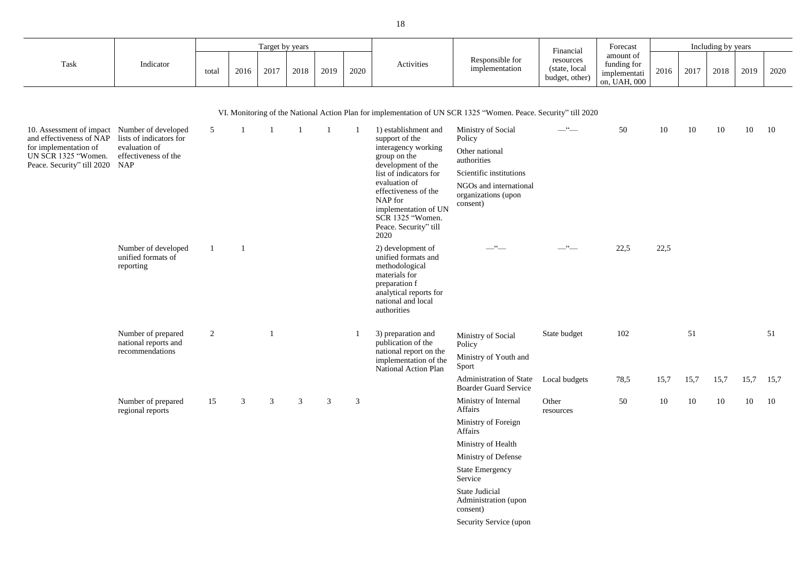|      |           |       |      | Target by years |      |      |      |                                                        | Financia.                                     | Forecast                                                        |      |      | Including by years |      |      |
|------|-----------|-------|------|-----------------|------|------|------|--------------------------------------------------------|-----------------------------------------------|-----------------------------------------------------------------|------|------|--------------------|------|------|
| Task | Indicator | total | 2016 | 2017            | 2018 | 2019 | 2020 | Responsible for<br><b>Activities</b><br>implementation | resources<br>(state, local)<br>budget, other) | amount of<br>funding for<br><i>implementati</i><br>on, UAH, 000 | 2016 | 2017 | 2018               | 2019 | 2020 |

VI. Monitoring of the National Action Plan for implementation of UN SCR 1325 "Women. Peace. Security" till 2020

| inancial                             | Forecast                                                 | Including by years |        |      |        |      |  |  |  |  |  |  |
|--------------------------------------|----------------------------------------------------------|--------------------|--------|------|--------|------|--|--|--|--|--|--|
| sources<br>ate, local<br>get, other) | amount of<br>funding for<br>implementati<br>on, UAH, 000 | 2016               | 2017   | 2018 | 2019   | 2020 |  |  |  |  |  |  |
|                                      |                                                          |                    |        |      |        |      |  |  |  |  |  |  |
| ity" till 2020                       |                                                          |                    |        |      |        |      |  |  |  |  |  |  |
| $\mathsf{cc}$                        | 50                                                       | $10\,$             | $10\,$ | 10   | $10\,$ | 10   |  |  |  |  |  |  |
|                                      |                                                          |                    |        |      |        |      |  |  |  |  |  |  |
|                                      |                                                          |                    |        |      |        |      |  |  |  |  |  |  |
|                                      |                                                          |                    |        |      |        |      |  |  |  |  |  |  |
|                                      |                                                          |                    |        |      |        |      |  |  |  |  |  |  |
|                                      |                                                          |                    |        |      |        |      |  |  |  |  |  |  |
|                                      |                                                          |                    |        |      |        |      |  |  |  |  |  |  |
| $\mathsf{cc}$                        | 22,5                                                     | 22,5               |        |      |        |      |  |  |  |  |  |  |
|                                      |                                                          |                    |        |      |        |      |  |  |  |  |  |  |
|                                      |                                                          |                    |        |      |        |      |  |  |  |  |  |  |
|                                      |                                                          |                    |        |      |        |      |  |  |  |  |  |  |
|                                      |                                                          |                    |        |      |        |      |  |  |  |  |  |  |
|                                      |                                                          |                    |        |      |        |      |  |  |  |  |  |  |

| 10. Assessment of impact Number of developed<br>and effectiveness of NAP<br>for implementation of<br>UN SCR 1325 "Women.<br>Peace. Security" till 2020 | lists of indicators for<br>evaluation of<br>effectiveness of the<br><b>NAP</b> | $\mathfrak{S}$                                         |    |   |   |   |   | 1) establishment and<br>support of the<br>interagency working<br>group on the<br>development of the<br>list of indicators for<br>evaluation of<br>effectiveness of the<br>NAP for<br>implementation of UN<br>SCR 1325 "Women.<br>Peace. Security" till<br>2020 | Ministry of Social<br>Policy<br>Other national<br>authorities<br>Scientific institutions<br>NGOs and international<br>organizations (upon<br>consent)       | $-\frac{c}{c}$                                            | 50                 | 10   |      |
|--------------------------------------------------------------------------------------------------------------------------------------------------------|--------------------------------------------------------------------------------|--------------------------------------------------------|----|---|---|---|---|----------------------------------------------------------------------------------------------------------------------------------------------------------------------------------------------------------------------------------------------------------------|-------------------------------------------------------------------------------------------------------------------------------------------------------------|-----------------------------------------------------------|--------------------|------|------|
|                                                                                                                                                        |                                                                                | Number of developed<br>unified formats of<br>reporting |    |   |   |   |   |                                                                                                                                                                                                                                                                | 2) development of<br>unified formats and<br>methodological<br>materials for<br>preparation f<br>analytical reports for<br>national and local<br>authorities | $\frac{1}{2}$ $\frac{1}{2}$                               | 66                 | 22,5 | 22,5 |
|                                                                                                                                                        | Number of prepared<br>national reports and<br>recommendations                  | 2                                                      |    |   |   |   |   | 3) preparation and<br>publication of the<br>national report on the<br>implementation of the<br><b>National Action Plan</b>                                                                                                                                     | Ministry of Social<br>Policy<br>Ministry of Youth and<br>Sport                                                                                              | State budget                                              | 102                |      |      |
|                                                                                                                                                        |                                                                                |                                                        |    |   |   |   |   |                                                                                                                                                                                                                                                                |                                                                                                                                                             | Administration of State<br><b>Boarder Guard Service</b>   | Local budgets      | 78,5 | 15,7 |
|                                                                                                                                                        |                                                                                | Number of prepared<br>regional reports                 | 15 | 3 | 3 | 3 | 3 | 3                                                                                                                                                                                                                                                              |                                                                                                                                                             | Ministry of Internal<br>Affairs                           | Other<br>resources | 50   | 10   |
|                                                                                                                                                        |                                                                                |                                                        |    |   |   |   |   |                                                                                                                                                                                                                                                                |                                                                                                                                                             | Ministry of Foreign<br>Affairs                            |                    |      |      |
|                                                                                                                                                        |                                                                                |                                                        |    |   |   |   |   |                                                                                                                                                                                                                                                                |                                                                                                                                                             | Ministry of Health                                        |                    |      |      |
|                                                                                                                                                        |                                                                                |                                                        |    |   |   |   |   |                                                                                                                                                                                                                                                                |                                                                                                                                                             | Ministry of Defense                                       |                    |      |      |
|                                                                                                                                                        |                                                                                |                                                        |    |   |   |   |   |                                                                                                                                                                                                                                                                |                                                                                                                                                             | <b>State Emergency</b><br>Service                         |                    |      |      |
|                                                                                                                                                        |                                                                                |                                                        |    |   |   |   |   |                                                                                                                                                                                                                                                                |                                                                                                                                                             | <b>State Judicial</b><br>Administration (upon<br>consent) |                    |      |      |
|                                                                                                                                                        |                                                                                |                                                        |    |   |   |   |   |                                                                                                                                                                                                                                                                |                                                                                                                                                             | Security Service (upon                                    |                    |      |      |
|                                                                                                                                                        |                                                                                |                                                        |    |   |   |   |   |                                                                                                                                                                                                                                                                |                                                                                                                                                             |                                                           |                    |      |      |

| State budget  | 102  |      | 51   |      |      |      |  |  |  |
|---------------|------|------|------|------|------|------|--|--|--|
| Local budgets | 78,5 | 15,7 | 15,7 | 15,7 | 15,7 | 15,7 |  |  |  |
| Other         | 50   | 10   | 10   | 10   | 10   | 10   |  |  |  |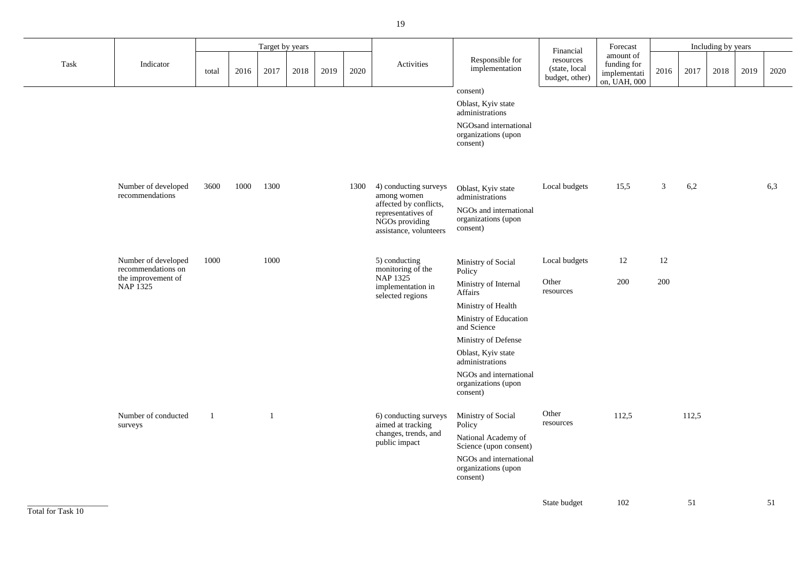| Forecast                                                 | Including by years |      |      |      |      |  |  |  |  |  |  |  |
|----------------------------------------------------------|--------------------|------|------|------|------|--|--|--|--|--|--|--|
| amount of<br>funding for<br>implementati<br>on, UAH, 000 | 2016               | 2017 | 2018 | 2019 | 2020 |  |  |  |  |  |  |  |

|      | Target by years                           |              |      |      |      |      |      |                                                                                                                                  | Financial                                                                                          |                                              | Forecast                                                 |                | Including by years |      |      |      |  |  |
|------|-------------------------------------------|--------------|------|------|------|------|------|----------------------------------------------------------------------------------------------------------------------------------|----------------------------------------------------------------------------------------------------|----------------------------------------------|----------------------------------------------------------|----------------|--------------------|------|------|------|--|--|
| Task | Indicator                                 | total        | 2016 | 2017 | 2018 | 2019 | 2020 | Activities                                                                                                                       | Responsible for<br>implementation                                                                  | resources<br>(state, local<br>budget, other) | amount of<br>funding for<br>implementati<br>on, UAH, 000 | 2016           | 2017               | 2018 | 2019 | 2020 |  |  |
|      |                                           |              |      |      |      |      |      |                                                                                                                                  | consent)                                                                                           |                                              |                                                          |                |                    |      |      |      |  |  |
|      |                                           |              |      |      |      |      |      |                                                                                                                                  | Oblast, Kyiv state<br>administrations                                                              |                                              |                                                          |                |                    |      |      |      |  |  |
|      |                                           |              |      |      |      |      |      |                                                                                                                                  | NGOsand international<br>organizations (upon<br>consent)                                           |                                              |                                                          |                |                    |      |      |      |  |  |
|      |                                           |              |      |      |      |      |      |                                                                                                                                  |                                                                                                    |                                              |                                                          |                |                    |      |      |      |  |  |
|      | Number of developed<br>recommendations    | 3600         | 1000 | 1300 |      |      | 1300 | 4) conducting surveys<br>among women<br>affected by conflicts,<br>representatives of<br>NGOs providing<br>assistance, volunteers | Oblast, Kyiv state<br>administrations<br>NGOs and international<br>organizations (upon<br>consent) | Local budgets                                | 15,5                                                     | 3 <sup>7</sup> | 6,2                |      |      | 6,3  |  |  |
|      |                                           |              |      |      |      |      |      |                                                                                                                                  |                                                                                                    |                                              |                                                          |                |                    |      |      |      |  |  |
|      | Number of developed<br>recommendations on | 1000         |      | 1000 |      |      |      | 5) conducting<br>monitoring of the                                                                                               | Ministry of Social<br>Policy                                                                       | Local budgets                                | 12                                                       | 12             |                    |      |      |      |  |  |
|      | the improvement of<br>NAP 1325            |              |      |      |      |      |      | NAP 1325<br>implementation in<br>selected regions                                                                                | Ministry of Internal<br>Affairs                                                                    | Other<br>resources                           | 200                                                      | 200            |                    |      |      |      |  |  |
|      |                                           |              |      |      |      |      |      |                                                                                                                                  | Ministry of Health                                                                                 |                                              |                                                          |                |                    |      |      |      |  |  |
|      |                                           |              |      |      |      |      |      |                                                                                                                                  | Ministry of Education<br>and Science                                                               |                                              |                                                          |                |                    |      |      |      |  |  |
|      |                                           |              |      |      |      |      |      |                                                                                                                                  | Ministry of Defense                                                                                |                                              |                                                          |                |                    |      |      |      |  |  |
|      |                                           |              |      |      |      |      |      |                                                                                                                                  | Oblast, Kyiv state<br>administrations                                                              |                                              |                                                          |                |                    |      |      |      |  |  |
|      |                                           |              |      |      |      |      |      |                                                                                                                                  | NGOs and international<br>organizations (upon<br>consent)                                          |                                              |                                                          |                |                    |      |      |      |  |  |
|      | Number of conducted<br>surveys            | $\mathbf{1}$ |      |      |      |      |      | 6) conducting surveys<br>aimed at tracking<br>changes, trends, and                                                               | Ministry of Social<br>Policy                                                                       | Other<br>resources                           | 112,5                                                    |                | 112,5              |      |      |      |  |  |
|      |                                           |              |      |      |      |      |      | public impact                                                                                                                    | National Academy of<br>Science (upon consent)                                                      |                                              |                                                          |                |                    |      |      |      |  |  |
|      |                                           |              |      |      |      |      |      |                                                                                                                                  | NGOs and international<br>organizations (upon<br>consent)                                          |                                              |                                                          |                |                    |      |      |      |  |  |
|      |                                           |              |      |      |      |      |      |                                                                                                                                  |                                                                                                    |                                              |                                                          |                |                    |      |      |      |  |  |

State budget 102 51 51 51